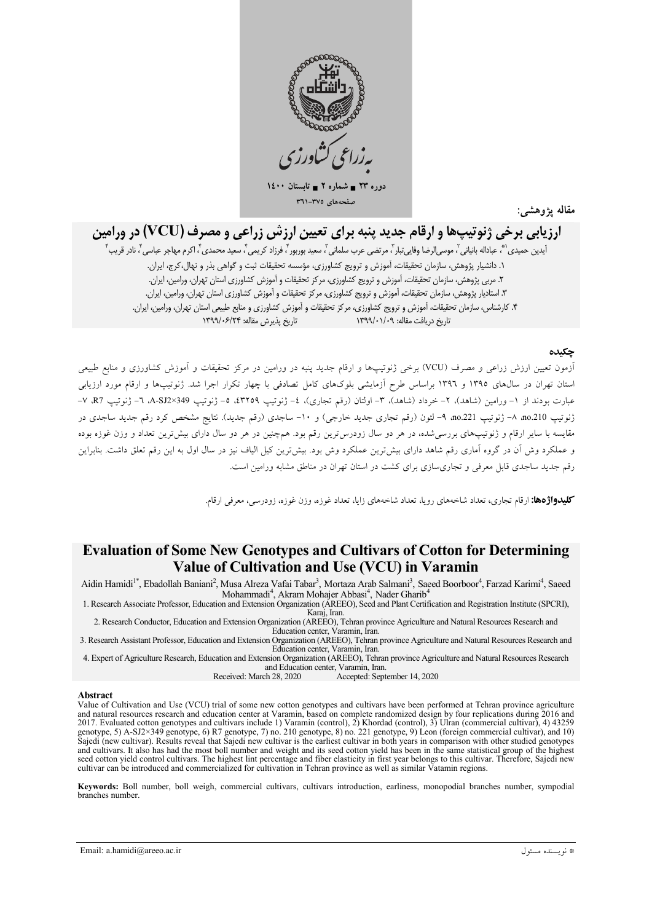

 $15 \leftrightarrow 70$ دوره ۲۳ = شماره ۲ = تابہ صفحههای ٣٧٥-٣٦١

مقاله يژوهشه

# ارزیابی برخی ژنوتیپها و ارقام جدید پنبه برای تعیین ارزش زراعی و مصرف (VCU) در ورامین

آيدين حميدي (\*، عباداله بانياني <sup>٢</sup>، موسى الرضا وفايي تبار <sup>٣</sup>، مرتضى عرب سلماني ٢ سعيد بوربور ۴ فرزاد كريمي ۴، سعيد محمدي ۴، اكرم مهاجر عباسي ۴، نادر قريب ۴ ١. دانشيار پژوهش، سازمان تحقيقات، آموزش و ترويج كشاورزي، مؤسسه تحقيقات ثبت و گواهي بذر و نهال،كرج، ايران. ۲. مربی پژوهش، سازمان تحقیقات، آموزش و ترویج کشاورزی، مرکز تحقیقات و آموزش کشاورزی استان تهران، ورامین، ایران. ۳. استادیار پژوهش، سازمان تحقیقات، آموزش و ترویج کشاورزی، مرکز تحقیقات و آموزش کشاورزی استان تهران، ورامین، ایران. ۴. کارشناس، سازمان تحقیقات، آموزش و ترویج کشاورزی، مرکز تحقیقات و آموزش کشاورزی و منابع طبیعی استان تهران، ورامین، ایران. تاريخ پذيرش مقاله: ۱۳۹۹/۰۶/۲۴ تاریخ دریافت مقاله: ۱۳۹۹/۰۱/۰۹

### چکىدە

.<br>آزمون تعیین ارزش زراعی و مصرف (VCU) برخی ژنوتیپها و ارقام جدید پنبه در ورامین در مرکز تحقیقات و آموزش کشاورزی و منابع طبیعی استان تهران در سال0های ۱۳۹۵ و ۱۳۹۲ براساس طرح آزمایشی بلوکهای کامل تصادفی با چهار تکرار اجرا شد. ژنوتیپها و ارقام مورد ارزیابی عبارت بودند از ١- ورامين (شاهد)، ٢- خرداد (شاهد)، ٣- اولتان (رقم تجاري)، ٤- ژنوتيپ ٢٢٥٩، ٥- ژنوتيپ A-SJ2×349 ٦- ژنوتيپ R7، ٧-ژنوتیپ 10.210 ۸– ژنوتیپ 10.221 ۹– لئون (رقم تجاری جدید خارجی) و ۱۰– ساجدی (رقم جدید). نتایج مشخص کرد رقم جدید ساجدی در مقایسه با سایر ارقام و ژنوتیپهای بررسیشده، در هر دو سال زودرسترین رقم بود. همچنین در هر دو سال دارای بیشترین تعداد و وزن غوزه بوده و عملکرد وش آن در گروه آماری رقم شاهد دارای بیش ترین عملکرد وش بود. بیش ترین کیل الیاف نیز در سال اول به این رقم تعلق داشت. بنابراین رقم جدید ساجدی قابل معرفی و تجاریسازی برای کشت در استان تهران در مناطق مشابه ورامین است.

**کلیدواژدها:** ارقام تجاری، تعداد شاخههای رویا، تعداد شاخههای زایا، تعداد غوزه، وزن غوزه، زودرسی، معرفی ارقام.

## **Evaluation of Some New Genotypes and Cultivars of Cotton for Determining** Value of Cultivation and Use (VCU) in Varamin

Aidin Hamidi<sup>1\*</sup>, Ebadollah Banjani<sup>2</sup>, Musa Alreza Vafai Tabar<sup>3</sup>, Mortaza Arab Salmani<sup>3</sup>, Saeed Boorboor<sup>4</sup>, Farzad Karimi<sup>4</sup>, Saeed Mohammadi<sup>4</sup>, Akram Mohajer Abbasi<sup>4</sup>, Nader Gharib<sup>4</sup>

1. Research Associate Professor, Education and Extension Organization (AREEO), Seed and Plant Certification and Registration Institute (SPCRI),

2. Research Conductor, Education and Extension Organization (AREEO), Tehran province Agriculture and Natural Resources Research and Education center, Varamin, Iran.

3. Research Assistant Professor, Education and Extension Organization (AREEO), Tehran province Agriculture and Natural Resources Research and Education center, Varamin, Iran.

4. Expert of Agriculture Research. Education and Extension Organization (AREEO). Tehran province Agriculture and Natural Resources Research and Education center. Varamin. Iran. Accepted: September 14, 2020

Received: March 28, 2020

#### Abstract

Value of Cultivation and Use (VCU) trial of some new cotton genotypes and cultivars have been performed at Tehran province agriculture<br>and natural resources research and education center at Varamin, based on complete rando 2017. Evaluated cotton genotypes and cultivars include 1) Varamin (control), 2) Khordad (control), 3) Ulran (commercial cultivar), 4) 43259<br>genotype, 5) A-SJ2×349 genotype, 6) R7 genotype, 7) no. 210 genotype, 8) no. 221 g and cultivars. It also has had the most boll number and weight and its seed cotton yield has been in the same statistical group of the highest seed cotton yield control cultivars. The highest lint percentage and fiber elasticity in first year belongs to this cultivar. Therefore, Sajedi new cultivar can be introduced and commercialized for cultivation in Tehran province as well as similar Vatamin regions.

Keywords: Boll number, boll weigh, commercial cultivars, cultivars introduction, earliness, monopodial branches number, sympodial branches number.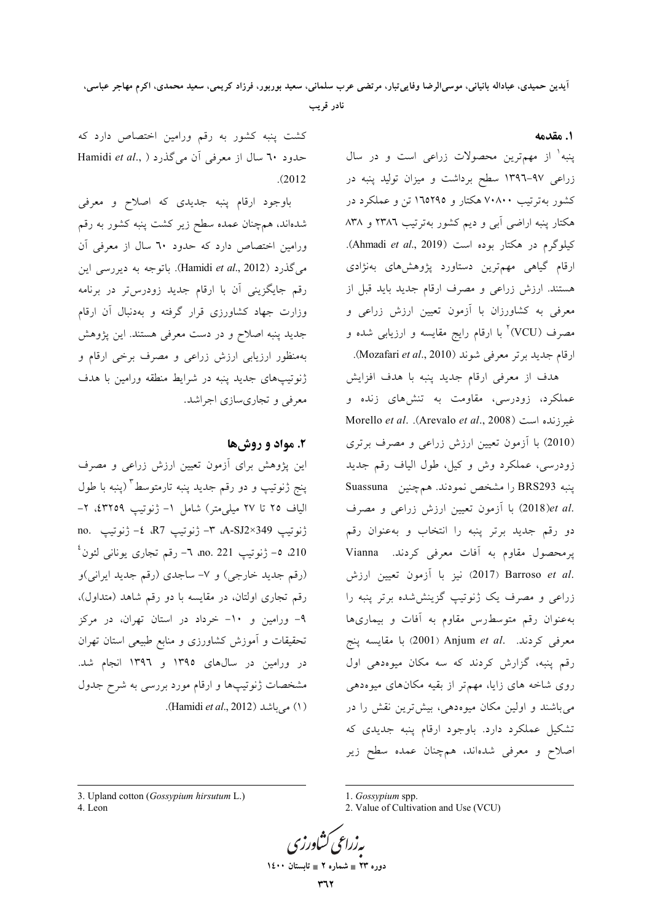آيدين حميدي، عباداله بانياني، موسىالرضا وفاييتبار، مرتضى عرب سلماني، سعيد بوربور، فرزاد كريمي، سعيد محمدي، اكرم مهاجر عباسي، نادر قریب

١. مقدمه

پنبه<sup>۱</sup> از مهمترین محصولات زراعی است و در سال زراعی ۹۷–۱۳۹٦ سطح برداشت و میزان تولید پنبه در کشور بهترتیب ۷۰۸۰۰ هکتار و ۱٦٥٢٩٥ تن و عملکرد در هکتار پنبه اراضی آبی و دیم کشور بهترتیب ۲۳۸٦ و ۸۳۸ کیلوگرم در هکتار بوده است (Ahmadi et al., 2019). ارقام گیاهی مهم,ترین دستاورد پژوهشهای بهنژادی هستند. ارزش زراعی و مصرف ارقام جدید باید قبل از معرفی به کشاورزان با آزمون تعیین ارزش زراعی و مصرف (VCU)<sup>۲</sup> با ارقام رایج مقایسه و ارزیابی شده و ارقام جديد برتر معرفي شوند (Mozafari et al., 2010).

هدف از معرفی ارقام جدید پنبه با هدف افزایش عملکرد، زودرسی، مقاومت به تنشهای زنده و نمیرزنده است (Arevalo *et al., 2008*). Morello *et al.* (2010) با آزمون تعیین ارزش زراعی و مصرف برتری زودرسی، عملکرد وش و کیل، طول الیاف رقم جدید ينبه BRS293 را مشخص نمودند. هم چنين Suassuna .2018)et al) با آزمون تعیین ارزش زراعی و مصرف دو رقم جديد برتر پنبه را انتخاب و بهعنوان رقم پرمحصول مقاوم به آفات معرفی کردند. Vianna .2017) Barroso et al (2017) نيز با آزمون تعيين ارزش زراعی و مصرف یک ژنوتیپ گزینششده برتر پنبه را به عنوان رقم متوسط رس مقاوم به آفات و بیماریها معرفی کردند. .Anjum et al (2001) با مقایسه پنج رقم پنبه، گزارش کردند که سه مکان میوهدهی اول روی شاخه های زایا، مهم تر از بقیه مکانهای میوهدهی میباشند و اولین مکان میوهدهی، بیشترین نقش را در تشکیل عملکرد دارد. باوجود ارقام پنبه جدیدی که اصلاح و معرفی شدهاند، همچنان عمده سطح زیر

کشت پنبه کشور به رقم ورامین اختصاص دارد که حدود ٦٠ سال از معرفی آن می گذرد ( Hamidi et al.,  $(2012)$ 

باوجود ارقام پنبه جدیدی که اصلاح و معرفی شدهاند، همچنان عمده سطح زیر کشت پنبه کشور به رقم ورامین اختصاص دارد که حدود ٦٠ سال از معرفی آن می گذرد (Hamidi *et al.*, 2012). باتوجه به دیررسی این رقم جایگزینی آن با ارقام جدید زودرس تر در برنامه وزارت جهاد كشاورزي قرار گرفته و بهدنبال آن ارقام جدید پنبه اصلاح و در دست معرفی هستند. این پژوهش بهمنظور ارزیابی ارزش زراعی و مصرف برخی ارقام و ژنوتیپهای جدید پنبه در شرایط منطقه ورامین با هدف معرفي و تجاري سازي اجراشد.

## ۲. مواد و روشها

این پژوهش برای آزمون تعیین ارزش زراعی و مصرف پنج ژنوتیپ و دو رقم جدید پنبه تارمتوسط<sup>۳</sup> (پنبه با طول الياف ٢٥ تا ٢٧ ميلي.متر) شامل ١- ژنوتيپ ٤٣٢٥٩، ٢no. \$ - \$ 349. ^- ژنوتيپ R7، \$- ژنوتيپ .no 210 ه- ژنوتيپ no. 221 ٦- رقم تجاري يوناني لئون<sup>،</sup> (رقم جدید خارجی) و ۷- ساجدی (رقم جدید ایرانی)و رقم تجاري اولتان، در مقايسه با دو رقم شاهد (متداول)، ۹- ورامین و ۱۰- خرداد در استان تهران، در مرکز تحقیقات و آموزش کشاورزی و منابع طبیعی استان تهران در ورامین در سالهای ۱۳۹۵ و ۱۳۹۲ انجام شد. مشخصات ژنوتیپها و ارقام مورد بررسی به شرح جدول (١) می باشد (Hamidi et al., 2012).

3. Upland cotton (Gossypium hirsutum L.) 4. Leon

1. Gossypium spp.

<sup>2.</sup> Value of Cultivation and Use (VCU)



دوره ۲۳ = شماره ۲ = تابستان ۱٤۰۰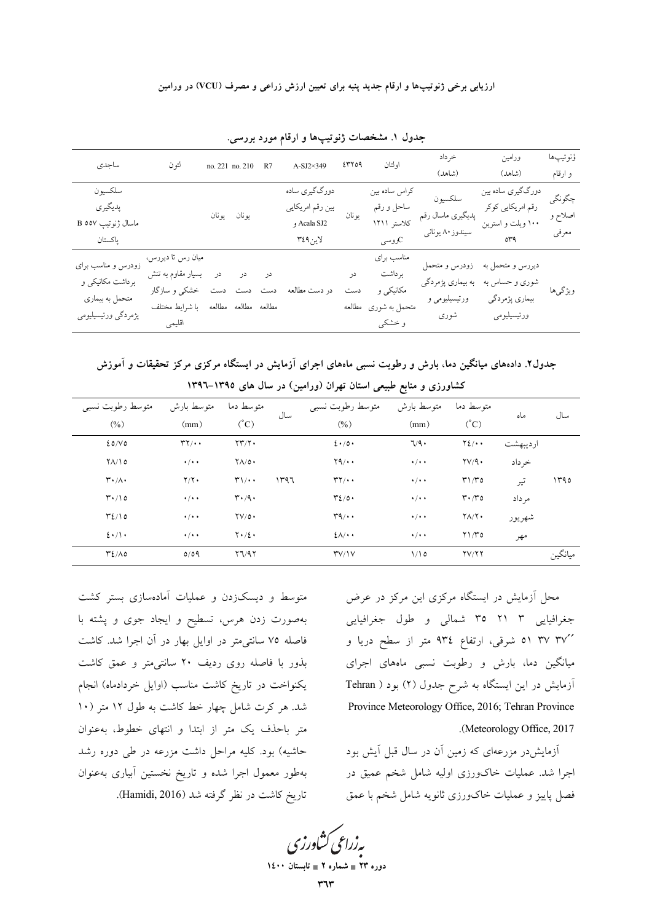ارزیابی برخی ژنوتیپها و ارقام جدید پنبه برای تعیین ارزش زراعی و مصرف (VCU) در ورامین

| ساجدى                                                                            | لئو ن                                                                                           | no. 221 no. 210 R7   |    | $A-SJ2\times349$                                            | ٤٣٢٥٩  | او لتان                                                              | خرداد<br>(شاهد)                                             | ورامين<br>(شاهد)                                                    | ؤنوتيپها<br>و ارقام        |
|----------------------------------------------------------------------------------|-------------------------------------------------------------------------------------------------|----------------------|----|-------------------------------------------------------------|--------|----------------------------------------------------------------------|-------------------------------------------------------------|---------------------------------------------------------------------|----------------------------|
| سلكسيون<br>پدیگیری<br>ماسال ژنوتيپ B ٥٥٧<br>ياكستان                              |                                                                                                 | يونان يونان          |    | دورگگیري ساده<br>بین رقم امریکایی<br>Acala SJ2 و<br>لاين٩٤٩ | يو نان | كراس ساده بين<br>ساحل و رقم<br>كلاستر ۱۲۱۱<br>ر<br>وسی               | سلكسيون<br>پدیگیری ماسال رقم<br>سیندوز ۸۰ یونانی            | دورگگیری ساده بین<br>رقم امریکایی کوکر<br>۱۰۰ ویلت و استرین<br>org  | چگونگي<br>اصلاح و<br>معرفي |
| زودرس و مناسب برای<br>برداشت مکانیکی و<br>متحمل به بیماری<br>پژمردگي ورتيسيليومي | میان رس تا دیررس،<br>بسیار مقاوم به تنش<br>ست دست دست خشکی و سازگار<br>با شرايط مختلف<br>اقليمي | مطالعه مطالعه مطالعه | در | در دست مطالعه                                               | در     | مناسب براي<br>بر داشت<br>مکانیکی و<br>متحمل به شوری مطالعه<br>و خشکی | زودرس و متحمل<br>به بیماری پژمردگی<br>ورتيسيليومي و<br>شورى | ديررس و متحمل به<br>شوری و حساس به<br>بیماری پژمردگی<br>ورتيسيليومي | ويژگىها                    |

جدول ۱. مشخصات ژنوتیپها و ارقام مورد بررسی.

جدول۲. دادههای میانگین دما، بارش و رطوبت نسبی ماههای اجرای آزمایش در ایستگاه مرکزی مرکز تحقیقات و آموزش کشاورزی و منابع طبیعی استان تهران (ورامین) در سال های ۱۳۹۵–۱۳۹۲

| متوسط رطوبت نسبى                    | متوسط بارش          | متوسط دما                           |      | متوسط رطوبت نسبى                     | متوسط بارش          | متوسط دما                                   |          | سال     |
|-------------------------------------|---------------------|-------------------------------------|------|--------------------------------------|---------------------|---------------------------------------------|----------|---------|
| (0/0)                               | (mm)                | $({}^{\circ}C)$                     | سال  | $(\%)$                               | (mm)                | $({}^{\circ}C)$                             | ماه      |         |
| 20/V                                | $\mathbf{r}$        | $\Upsilon \Upsilon / \Upsilon$ .    |      | $2 \cdot 10 \cdot$                   | 7/9                 | $Y\S$ /                                     | ارديبهشت |         |
| $Y/\sqrt{0}$                        | $\cdot$ / $\cdot$ + | $Y \wedge / 0$ .                    |      | Y9/4                                 | $\cdot$ / $\cdot$ + | $\gamma v/9$ .                              | خرداد    |         |
| $\mathbf{r} \cdot / \Lambda$        | $Y/Y$ .             | $\mathbf{r}/\cdot$                  | ۱۳۹٦ | $\mathbf{r}$                         | $\cdot$ / $\cdot$ + | $\mathsf{r}\mathsf{1}/\mathsf{r}\mathsf{o}$ | تير      | ۱۳۹۵    |
| $\mathsf{r} \cdot \mathsf{r} \circ$ | $\cdot$ / $\cdot$ + | $\mathbf{r} \cdot \mathbf{A} \cdot$ |      | $\mathcal{L}/\mathcal{O}$ .          | $\cdot$ / $\cdot$ + | $\mathbf{r} \cdot \mathbf{r}$               | مر داد   |         |
| $\mathcal{L}/10$                    | $\cdot$ / $\cdot$ + | $\Upsilon V/\Omega$                 |      | $r_1 \cdots$                         | $\cdot$ / $\cdot$ + | $Y/\gamma$ .                                | شهريور   |         |
| $2 \cdot / \cdot$                   | $\cdot$ / $\cdot$ + | $Y \cdot / \xi$                     |      | $2\Lambda/\cdot$                     | $\cdot$ / $\cdot$ + | $Y\frac{1}{10}$                             | مهر      |         |
| $T2/\Lambda$ 0                      | 0/09                | Y7/97                               |      | $\mathsf{r} \mathsf{v} / \mathsf{v}$ | 1/10                | YV/YY                                       |          | ميانگين |
|                                     |                     |                                     |      |                                      |                     |                                             |          |         |

محل آزمایش در ایستگاه مرکزی این مرکز در عرض جغرافیایی ۳ ۲۱ ۳ شمالی و طول جغرافیایی ۴۷٬ ۳۷٬ ۵۱ شرقی، ارتفاع ۹۳٤ متر از سطح دریا و میانگین دما، بارش و رطوبت نسبی ماههای اجرای آزمایش در این ایستگاه به شرح جدول (۲) بود ( Tehran Province Meteorology Office, 2016; Tehran Province .(Meteorology Office, 2017)

آزمایشدر مزرعهای که زمین آن در سال قبل آیش بود اجرا شد. عملیات خاکورزی اولیه شامل شخم عمیق در فصل ياييز و عمليات خاكورزي ثانويه شامل شخم با عمق

متوسط و دیسکزدن و عملیات آمادهسازی بستر کشت بهصورت زدن هرس، تسطیح و ایجاد جوی و پشته با فاصله ۷۵ سانتی متر در اوایل بهار در آن اجرا شد. کاشت بذور با فاصله روی ردیف ۲۰ سانتی متر و عمق کاشت یکنواخت در تاریخ کاشت مناسب (اوایل خردادماه) انجام شد. هر کرت شامل چهار خط کاشت به طول ۱۲ متر (۱۰ متر باحذف یک متر از ابتدا و انتهای خطوط، بهعنوان حاشیه) بود. کلیه مراحل داشت مزرعه در طی دوره رشد بهطور معمول اجرا شده و تاريخ نخستين أبيارى بهعنوان تاریخ کاشت در نظر گرفته شد (Hamidi, 2016).

بەزراعى كشاورزى

دوره ۲۳ = شماره ۲ = تابستان ۱٤۰۰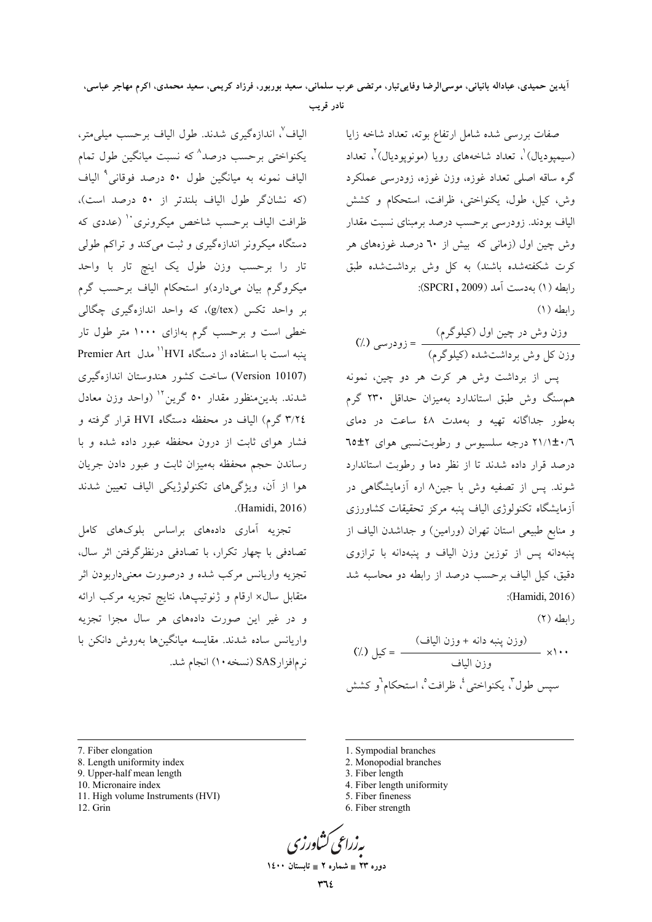## آيدين حميدي، عباداله بانياني، موسىالرضا وفايي¤بار، مرتضى عرب سلماني، سعيد بوربور، فرزاد كريمي، سعيد محمدي، اكرم مهاجر عباسي، نادر قریب

صفات بررسی شده شامل ارتفاع بوته، تعداد شاخه زایا (سیمیودیال)'، تعداد شاخههای رویا (مونوپودیال)'، تعداد گره ساقه اصلی تعداد غوزه، وزن غوزه، زودرسی عملکرد وش، كيل، طول، يكنواختى، ظرافت، استحكام و كشش الیاف بودند. زودرسی برحسب درصد برمینای نسبت مقدار وش چین اول (زمانی که بیش از ٦٠ درصد غوزههای هر کرت شکفتهشده باشند) به کل وش برداشتشده طبق رابطه (١) به دست آمد (SPCRI, 2009):  $(1)$  وابطه

يس از برداشت وش هر كرت هر دو چين، نمونه هم سنگ وش طبق استاندارد بهمیزان حداقل ۲۳۰ گرم به طور جداگانه تهیه و بهمدت ٤٨ ساعت در دمای ۲۱/۱±۰/٦ درجه سلسیوس و رطوبتنسبی هوای ۲±۲ درصد قرار داده شدند تا از نظر دما و رطوبت استاندارد شوند. پس از تصفیه وش با جین۸ اره آزمایشگاهی در آزمایشگاه تکنولوژی الیاف پنبه مرکز تحقیقات کشاورزی و منابع طبیعی استان تهران (ورامین) و جداشدن الیاف از پنبهدانه پس از توزین وزن الیاف و پنبهدانه با ترازوی دقیق، کیل الیاف بر حسب درصد از رابطه دو محاسبه شد :(Hamidi, 2016)

رابطه (٢)

الياف٬ اندازهگيري شدند. طول الياف برحسب ميلي متر، یکنواختی برحسب درصد^که نسبت میانگین طول تمام الياف نمونه به ميانگين طول ٥٠ درصد فوقان<sub>ى</sub>° الياف (كه نشانگر طول الياف بلندتر از ٥٠ درصد است)، ظرافت الياف برحسب شاخص ميكرونري'` (عددي كه دستگاه میکرونر اندازهگیری و ثبت می کند و تراکم طولی تار را برحسب وزن طول یک اینچ تار با واحد میکروگرم بیان میدارد)و استحکام الیاف برحسب گرم بر واحد تکس (g/tex)، که واحد اندازهگیری چگالی خطی است و برحسب گرم بهازای ۱۰۰۰ متر طول تار ننبه است با استفاده از دستگاه HVI'' مدل Premier Art (Version 10107) ساخت کشور هندوستان اندازهگیری شدند. بدین منظور مقدار ۵۰ گرین<sup>۱۲</sup> (واحد وزن معادل ٣/٢٤ گرم) الياف در محفظه دستگاه HVI قرار گرفته و فشار هوای ثابت از درون محفظه عبور داده شده و با رساندن حجم محفظه بهمیزان ثابت و عبور دادن جریان هوا از آن، ویژگیهای تکنولوژیکی الیاف تعیین شدند .(Hamidi, 2016)

تجزیه آماری دادههای براساس بلوکهای کامل تصادفی با چهار تکرار، با تصادفی درنظرگرفتن اثر سال، تجزيه واريانس مركب شده و درصورت معنىداربودن اثر متقابل سال× ارقام و ژنوتیپها، نتایج تجزیه مرکب ارائه و در غیر این صورت دادههای هر سال مجزا تجزیه واريانس ساده شدند. مقايسه ميانگينها بهروش دانكن با نرمافزارSAS (نسخه ۱۰) انجام شد.

- 7. Fiber elongation
- 8. Length uniformity index
- 9. Upper-half mean length
- 10. Micronaire index
- 11. High volume Instruments (HVI)
- 12. Grin
- 1. Sympodial branches
- 2. Monopodial branches
- 3. Fiber length
- 4. Fiber length uniformity 5. Fiber fineness
- 6. Fiber strength

$$
\mathcal{L}^{(1)}(S)
$$

دوره ۲۳ = شماره ۲ = تابستان ۱٤۰۰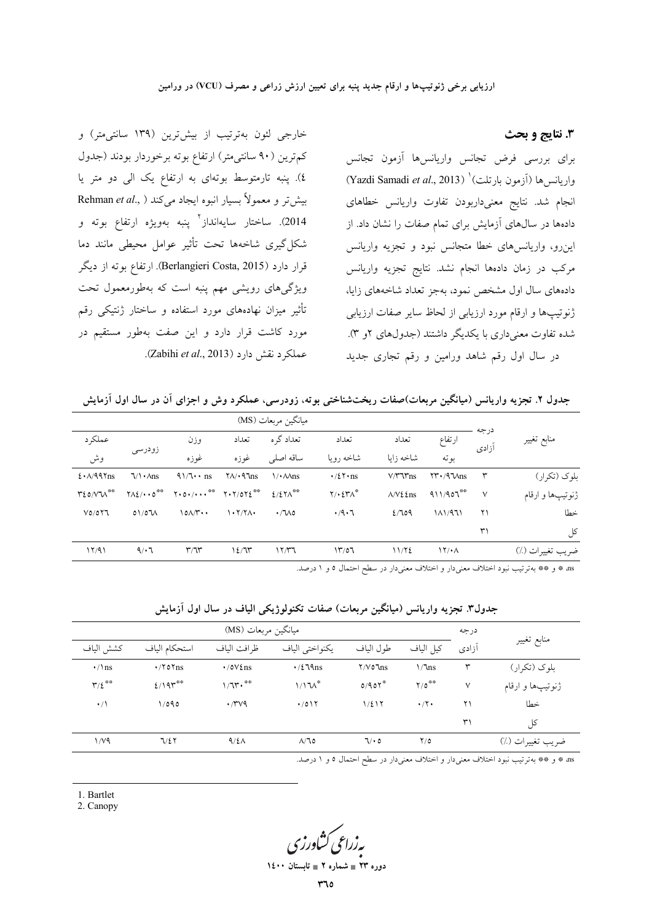3. نتايج و بحث

برای بررسی فرض تجانس واریانسها آزمون تجانس (Yazdi Samadi et al., 2013) (اَزْمُونْ بَارْتَلْت) (Yazdi Samadi et al., 2013) انجام شد. نتايج معنىداربودن تفاوت واريانس خطاهاى دادهها در سالهای آزمایش برای تمام صفات را نشان داد. از اینرو، واریانسهای خطا متجانس نبود و تجزیه واریانس مرکب در زمان دادهها انجام نشد. نتایج تجزیه واریانس دادههای سال اول مشخص نمود، بهجز تعداد شاخههای زایا، ژنوتیپها و ارقام مورد ارزیابی از لحاظ سایر صفات ارزیابی شده تفاوت معنی داری با یکدیگر داشتند (جدولهای ۲و ۳). در سال اول رقم شاهد ورامین و رقم تجاری جدید

خارجی لئون بهترتیب از بیشترین (۱۳۹ سانتی متر) و کم ترین (۹۰ سانتی متر) ارتفاع بوته برخوردار بودند (جدول ٤). پنبه تارمتوسط بوتهای به ارتفاع یک الی دو متر یا Rehman et al., ) بیش تر و معمولاً بسیار انبوه ایجاد میکند 2014). ساختار سايەانداز<sup>۲</sup> ينبه بەويژە ارتفاع بوته و شکل گیری شاخهها تحت تأثیر عوامل محیطی مانند دما قرار دارد (Berlangieri Costa, 2015). ارتفاع بوته از دیگر ویژگیهای رویشی مهم پنبه است که بهطورمعمول تحت تأثیر میزان نهادههای مورد استفاده و ساختار ژنتیکی رقم مورد کاشت قرار دارد و این صفت بهطور مستقیم در عملكرد نقش دارد (Zabihi et al., 2013).

جدول ۲. تجزیه واریانس (میانگین مربعات)صفات ریختشناختی بوته، زودرسی، عملکرد وش و اجزای أن در سال اول اَزمایش

|                               |                                                          |                                                                              |                                 | میانگین مربعات (MS)         |                             |                                   |                                            |               |                  |
|-------------------------------|----------------------------------------------------------|------------------------------------------------------------------------------|---------------------------------|-----------------------------|-----------------------------|-----------------------------------|--------------------------------------------|---------------|------------------|
| عملكرد                        |                                                          | وزن                                                                          | تعداد                           | تعداد گره                   | تعداد                       | تعداد                             | ارتفاع                                     | درجه<br>آزادى | منابع تغيير      |
| وش                            | زودرسی                                                   | غوزه                                                                         | غوزه                            | ساقه اصلى                   | شاخه رويا                   | شاخه زاىا                         | بو ته                                      |               |                  |
| $2.1/99$ Tns                  | $\sqrt{\cdot}$ Ans                                       | $41/7 \cdot \text{ns}$                                                       | $\sqrt{\frac{4}{10}}$           | $\sqrt{\cdot}$ $\Delta$ ns  | $\cdot/27 \cdot \text{ns}$  | $V/T$ $T$ ns                      | $\Upsilon \Upsilon \cdot / 9$ $\text{Ans}$ | $\mathsf{r}$  | بلوک (تکرار)     |
| $Y_{\ell}$ o/v $W^{\ast\ast}$ | $\Upsilon \wedge \Sigma / \cdot \cdot \circ^{\ast \ast}$ | $Y \cdot 0 \cdot / \cdots$ <sup>20</sup> $Y \cdot Y / 0 Y \xi$ <sup>20</sup> |                                 | $2/27\Lambda$ <sup>68</sup> | $Y/\cdot \Sigma Y \wedge^*$ | $\Lambda/V\epsilon$ $\epsilon$ ns | $911/907***$                               | $\sqrt{}$     | ژنوتيپها و ارقام |
| V0/077                        | 01/07                                                    | $10\Lambda/\Upsilon$                                                         | $\cdot$ $\cdot$ $\cdot$ $\cdot$ | $\cdot$ / $\sim$            | .4.7                        | 2/709                             | 1/1/971                                    | ۲۱            | خطا              |
|                               |                                                          |                                                                              |                                 |                             |                             |                                   |                                            | ٣١            | کل               |
| 17/91                         | 9/17                                                     | T/T                                                                          | 12/T                            | 17/T                        | 17/07                       | 11/72                             | 17/4                                       |               | ضريب تغييرات (٪) |

as # و \*# بهترتيب نبود اختلاف معنىدار و اختلاف معنىدار در سطح احتمال ٥ و ١ درصد.

|                              |                | میانگین مربعات (MS)              |                     |                 |                             | درجه         | منابع تغيير      |
|------------------------------|----------------|----------------------------------|---------------------|-----------------|-----------------------------|--------------|------------------|
| كشش الياف                    | استحكام الياف  | ظرافت الياف                      | يكنواختي الياف      | طول الياف       | كيل الياف                   | آزادى        |                  |
| $\cdot$ /\ns                 | $\cdot$ /۲۵۲ns | $\cdot$ /0 $V$ $\ell$ ns         | $\cdot/2$ 19 ns     | $Y/V$ o $\ln s$ | $1/T$ ns                    | $\mathsf{r}$ | بلوک (تکرار)     |
| $\Upsilon/\xi$ <sup>**</sup> | $2/19r^{**}$   | $1/T$ r. $\overset{\ast}{\cdot}$ | $1/17\Lambda^*$     | $0/90Y^*$       | $Y/\mathfrak{o}^{\ast\ast}$ | $\vee$       | ژنوتيپها و ارقام |
| $\cdot/$                     | 1/090          | $\cdot$ /۳ $\vee$ ۹              | .7017               | $1/\xi$ $17$    | $\cdot$ /۲ $\cdot$          | ۲۱           | خطا              |
|                              |                |                                  |                     |                 |                             | ٣١           | کل               |
| ۱/۷۹                         | 7/27           | $9/2\Lambda$                     | $\Lambda/\Lambda$ 0 | 7/0             | $Y/\delta$                  |              | ضريب تغييرات (٪) |

جدول٣. تجزیه واریانس (میانگین مربعات) صفات تکنولوژیکی الیاف در سال اول آزمایش

as \* و \*\* بهترتيب نبود اختلاف معنىدار و اختلاف معنىدار در سطح احتمال ٥ و ١ درصد.

1. Bartlet

2. Canopy

بەزراعى كشاورز<sup>.</sup>

دورہ ۲۳ ∎ شمارہ ۲ ∎ تاب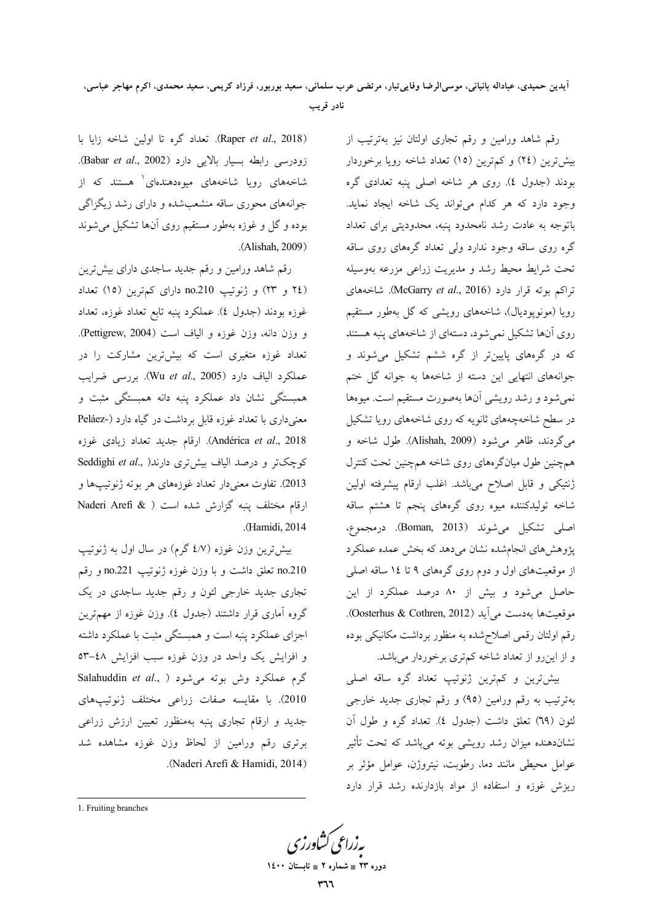آيدين حميدي، عباداله بانياني، موسىالرضا وفاييتبار، مرتضى عرب سلماني، سعيد بوربور، فرزاد كريمي، سعيد محمدي، اكرم مهاجر عباسي، نادر قريب

> رقم شاهد ورامین و رقم تجاری اولتان نیز بهترتیب از بیش ترین (٢٤) و کم ترین (١٥) تعداد شاخه رویا برخوردار بودند (جدول ٤). روى هر شاخه اصلى پنبه تعدادى گره وجود دارد که هر کدام میتواند یک شاخه ایجاد نماید. باتوجه به عادت رشد نامحدود ينبه، محدوديتي براي تعداد گره روی ساقه وجود ندارد ولی تعداد گرمهای روی ساقه تحت شرایط محیط رشد و مدیریت زراعی مزرعه بهوسیله تراكم بوته قرار دارد (McGarry et al., 2016). شاخههای رویا (مونوپودیال)، شاخههای رویشی که گل بهطور مستقیم روی آنها تشکیل نمی شود، دستهای از شاخههای پنبه هستند که در گرههای پایینتر از گره ششم تشکیل میشوند و جوانههای انتهایی این دسته از شاخهها به جوانه گل ختم نمیشود و رشد رویشی آنها بهصورت مستقیم است. میوهها در سطح شاخهچههای ثانویه که روی شاخههای رویا تشکیل میگردند، ظاهر می شود (Alishah, 2009). طول شاخه و همچنین طول میانگرههای روی شاخه همچنین تحت کنترل ژنتیکی و قابل اصلاح میباشد. اغلب ارقام پیشرفته اولین شاخه تولیدکننده میوه روی گرههای پنجم تا هشتم ساقه اصلي تشكيل مي شوند (Boman, 2013). درمجموع، یژوهش های انجامشده نشان می دهد که بخش عمده عملکرد از موقعیتهای اول و دوم روی گرههای ۹ تا ۱۶ ساقه اصلی حاصل می شود و بیش از ۸۰ درصد عملکرد از این موقعیتها بهدست می آید (Oosterhus & Cothren, 2012). رقم اولتان رقمی اصلاحشده به منظور برداشت مکانیکی بوده و از اینروو از تعداد شاخه کمتری برخوردار میباشد.

> بیش ترین و کم ترین ژنوتیپ تعداد گره ساقه اصلی بهترتیب به رقم ورامین (۹۵) و رقم تجاری جدید خارجی لئون (٦٩) تعلق داشت (جدول ٤). تعداد گره و طول آن نشاندهنده میزان رشد رویشی بوته میباشد که تحت تأثیر عوامل محیطی مانند دما، رطوبت، نیتروژن، عوامل مؤثر بر ریزش غوزه و استفاده از مواد بازدارنده رشد قرار دارد

(Raper et al., 2018). تعداد گره تا اولین شاخه زایا با زودرسی رابطه بسیار بالایی دارد (Babar et al., 2002). شاخههای رویا شاخههای میوهدهندهای<sup>۱</sup> هستند که از جوانههای محوری ساقه منشعبشده و دارای رشد زیگزاگی بوده و گل و غوزه بهطور مستقیم روی آنها تشکیل می شوند .(Alishah, 2009)

رقم شاهد ورامین و رقم جدید ساجدی دارای بیش ترین (٢٤ و ٢٣) و ژنوتيپ no.210 داراى كمترين (١٥) تعداد غوزه بودند (جدول ٤). عملكرد پنبه تابع تعداد غوزه، تعداد و وزن دانه، وزن غوزه و الياف است (Pettigrew, 2004). تعداد غوزه متغیری است که بیشترین مشارکت را در عملكرد الياف دارد (Wu et al., 2005). بررسى ضرايب همبستگی نشان داد عملکرد پنبه دانه همبستگی مثبت و معنیداری با تعداد غوزه قابل برداشت در گیاه دارد (-Peláez Andérica et al., 2018). ارقام جدید تعداد زیادی غوزه Seddighi et al., )درند الیاف بیشتری دارند 2013). تفاوت معنىدار تعداد غوزههاى هر بوته ژنوتيپها و ارقام مختلف پنبه گزارش شده است ( & Naderi Arefi .(Hamidi, 2014).

بیش ترین وزن غوزه (٤/٧ گرم) در سال اول به ژنوتیپ no.210 تعلق داشت وبا وزن غوزه ژنوتيپ no.221 و رقم تجاری جدید خارج<sub>ی</sub> لئون و رقم جدید ساجدی در یک گروه آماری قرار داشتند (جدول ٤). وزن غوزه از مهمترین اجزای عملکرد پنبه است و همبستگی مثبت با عملکرد داشته و افزایش یک واحد در وزن غوزه سبب افزایش ٤٨-٥٣ Salahuddin et al., ) گرم عملکرد وش بوته میشود 2010). با مقايسه صفات زراعى مختلف ژنوتيپهاى جدید و ارقام تجاری پنبه بهمنظور تعیین ارزش زراعی برتری رقم ورامین از لحاظ وزن غوزه مشاهده شد .(Naderi Arefi & Hamidi, 2014)

1. Fruiting branches

دوره ۲۳ ∎ شماره ۲ ∎ تاب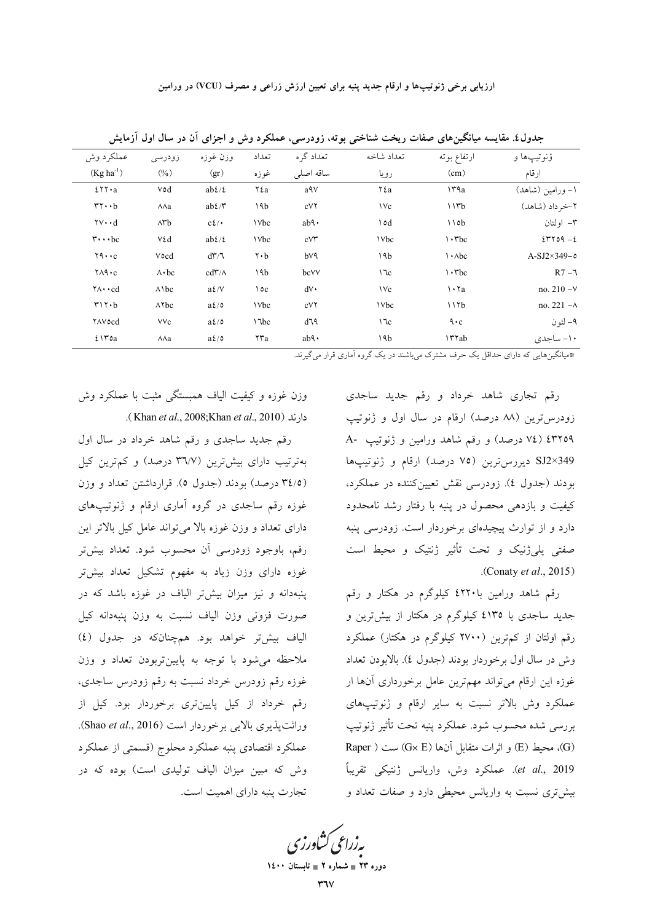ارزیابی برخی ژنوتیپها و ارقام جدید پنبه برای تعیین ارزش زراعی و مصرف (VCU) در ورامین

| ؤنوتيپها و          | ارتفاع بوته                        | تعداد شاخه | تعداد گر ه          | تعداد                         | وزن غوزه                 | زودرسى              | عملكرد وش                              |
|---------------------|------------------------------------|------------|---------------------|-------------------------------|--------------------------|---------------------|----------------------------------------|
| ارقام               | (cm)                               | رويا       | ساقه اصلى           | غوزه                          | (gr)                     | (9/0)               | $(Kg ha^{-1})$                         |
| ۱– ورامین (شاهد)    | 14a                                | ٢٤a        | a۹v                 | ٢٤a                           | $ab\ell/\ell$            | Vod                 | $251 \cdot a$                          |
| ٢-خر داد (شاهد)     | 11rb                               | $\vee$     | cVY                 | ١٩b                           | $ab\ell/\mathfrak{r}$    | ЛЛа                 | $rr \cdot b$                           |
| ۳– اولتان           | 110b                               | ١٥d        | $ab\mathcal{A}$     | <b>\Vbc</b>                   | $c\ell$ .                | $\wedge$ rb         | $\mathbf{v} \cdot \mathbf{d}$          |
| $2-\gamma$          | $\cdot$ rbc                        | 1 Vbc      | $cV^{\prime\prime}$ | <b>\Vbc</b>                   | $ab\ell/\ell$            | ٧٤d                 | $\mathbf{r} \cdot \cdot \mathbf{b}$ c  |
| $A-SJ2\times 349-0$ | $\cdot$ $\lambda$ bc               | ١٩b        | b۷۹                 | $\mathbf{r} \cdot \mathbf{b}$ | $d\mathbf{Y}/\mathbf{Z}$ | Vocd                | $YQ \cdot C$                           |
| $R7 - 7$            | $\cdot$ rbc                        | 17c        | bcVV                | ١٩b                           | $cd\tilde{r}/\Lambda$    | $\wedge \cdot bc$   | $Y \wedge \mathsf{A} \cdot c$          |
| no. $210 - V$       | $\cdot$ $\cdot$ $\cdot$            | $\vee$     | $dV \cdot$          | ١٥c                           | $a\ell/V$                | $\wedge$ \ bc       | $\forall \wedge \cdot \cdot \text{cd}$ |
| no. $221 - A$       | 117b                               | 1 Vbc      | cVY                 | <b>\Vbc</b>                   | $a\ell/c$                | $\wedge \text{Ybc}$ | $r \wedge r \cdot b$                   |
| ۹– لئون             | $\mathbf{\ddot{a}}\cdot\mathbf{c}$ | $\sqrt{c}$ | d٦٩                 | \"\bc                         | $a\ell/c$                | <b>VVc</b>          | <b>YAVocd</b>                          |
| ۱۰- ساجدی           | <b>ITTab</b>                       | ١٩b        | $ab\mathcal{A}$     | ۲۳a                           | $a\ell/\delta$           | $\lambda \lambda a$ | ٤١٣٥a                                  |
|                     |                                    |            |                     |                               |                          |                     |                                        |

جدول٤. مقایسه میانگینهای صفات ریخت شناختی بوته، زودرسی، عملکرد وش و اجزای آن در سال اول آزمایش

\*میانگینهایی که دارای حداقل یک حرف مشترک می باشند در یک گروه آماری قرار می گیرند.

رقم تجاری شاهد خرداد و رقم جدید ساجدی زودرسترین (۸۸ درصد) ارقام در سال اول و ژنوتیپ ۷٤) (٧٤ درصد) و رقم شاهد ورامين و ژنوتيپ -A SJ2×349 ديررس ترين (٧٥ درصد) ارقام و ژنوتيپها بودند (جدول ٤). زودرسی نقش تعیین کننده در عملکرد، کیفیت و بازدهی محصول در پنبه با رفتار رشد نامحدود دارد و از توارث پیچیدهای برخوردار است. زودرسی پنبه صفتی پلی ژنیک و تحت تأثیر ژنتیک و محیط است .(Conaty et al., 2015).

رقم شاهد ورامین با۲۲۰ کیلوگرم در هکتار و رقم جدید ساجدی با ٤١٣٥ کیلوگرم در هکتار از بیشترین و رقم اولتان از کمترین (۲۷۰۰ کیلوگرم در هکتار) عملکرد وش در سال اول برخوردار بودند (جدول ٤). بالابودن تعداد غوزه این ارقام میتواند مهمترین عامل برخورداری آنها ار عملکرد وش بالاتر نسبت به سایر ارقام و ژنوتیپهای بررسي شده محسوب شود. عملكرد پنبه تحت تأثير ژنوتيپ (G)، محیط (E) و اثرات متقابل آنها (Gx E) ست ( Raper et al., 2019). عملكرد وش، واريانس ژنتيكي تقريباً بیش تری نسبت به واریانس محیطی دارد و صفات تعداد و

وزن غوزه و كيفيت الياف همبستگي مثبت با عملكرد وش دارند (Khan et al., 2008;Khan et al., 2010).

رقم جدید ساجدی و رقم شاهد خرداد در سال اول بهترتیب دارای بیش ترین (۳۶/۷ درصد) و کم ترین کیل (۳٤/٥ درصد) بودند (جدول ٥). قرارداشتن تعداد و وزن غوزه رقم ساجدی در گروه آماری ارقام و ژنوتیپهای دارای تعداد و وزن غوزه بالا می تواند عامل کیل بالاتر این رقم، باوجود زودرسی آن محسوب شود. تعداد بیشتر غوزه دارای وزن زیاد به مفهوم تشکیل تعداد بیشتر پنبهدانه و نیز میزان بیشتر الیاف در غوزه باشد که در صورت فزونی وزن الياف نسبت به وزن پنبهدانه كيل الياف بيش تر خواهد بود. هم چنان كه در جدول (٤) ملاحظه می شود با توجه به پایینتربودن تعداد و وزن غوزه رقم زودرس خرداد نسبت به رقم زودرس ساجدي، رقم خرداد از کیل پایینتری برخوردار بود. کیل از وراثت پذیری بالایی برخوردار است (Shao et al., 2016). عملكرد اقتصادي پنبه عملكرد محلوج (قسمتي از عملكرد وش که مبین میزان الیاف تولیدی است) بوده که در تجارت پنبه دارای اهمیت است.

**یه زراعی کشاورز<sup>.</sup>** 

دوره ۲۳ ∎ شماره ۲ ∎ تابہ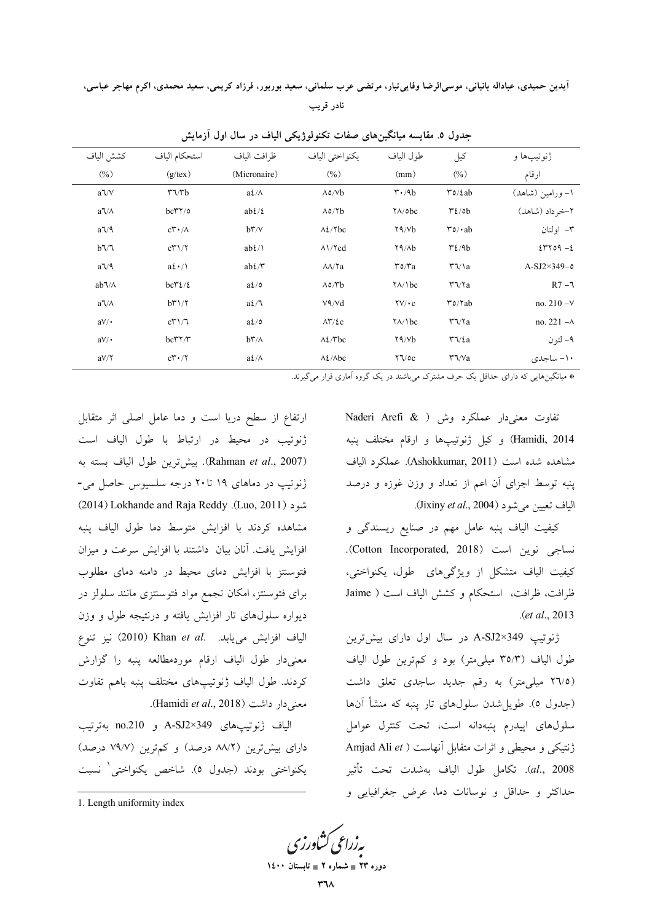اَيدين حميدي، عباداله بانياني، موسىالرضا وفاييتبار، مرتضى عرب سلماني، سعيد بوربور، فرزاد كريمي، سعيد محمدي، اكرم مهاجر عباسي، نادر قريب

| $(\% )$<br>$(g$ /tex)<br>(Micronaire)<br>(9/0)<br>$(\%)$<br>(mm)                                                                                                             | ارقام               |
|------------------------------------------------------------------------------------------------------------------------------------------------------------------------------|---------------------|
|                                                                                                                                                                              |                     |
| $\mathfrak{r}\mathfrak{o}/\mathfrak{c}$ ab<br>$a\sqrt{V}$<br>$a\ell/\Lambda$<br>$\Lambda \circ / \forall b$<br>$\mathbf{r} \cdot \mathbf{A} \mathbf{b}$<br>$r\gamma$ rb      | ۱– ورامین (شاهد)    |
| $\mathcal{L}/\mathfrak{ob}$<br>$bc\mathsf{T}^{\prime\prime}/\mathfrak{o}$<br>$ab\ell/\ell$<br>$\Lambda$ 0/ $\gamma$ b<br>$\sqrt{\Delta}$<br>$a\sqrt{\Lambda}$                | ٢-خر داد (شاهد)     |
| $a\sqrt{ }$<br>$\Lambda$ {/ $\Upsilon$ bc<br>$\mathbf{r} \circ \mathbf{r} \cdot \mathbf{a} \mathbf{b}$<br>$b\mathsf{r}/\mathsf{v}$<br>Y9/Vb<br>$c\mathsf{t} \cdot / \Lambda$ | ۳– اولتان           |
| $b\sqrt{7}$<br>$ab\ell/\mathcal{N}$<br>$\Lambda$ / $\gamma$ cd<br>Y9/Ab<br>$\mathcal{L}/4b$<br>cT1/T                                                                         | $2-\epsilon$        |
| $a\sqrt{q}$<br>$a\mathfrak{t} \cdot / \mathfrak{h}$<br>$ab\ell/\mathfrak{r}$<br>$\Upsilon \Upsilon / a$<br>$\lambda\lambda/\text{Ya}$<br>$r_0/r_a$                           | $A-SJ2\times 349-0$ |
| $bc\mathcal{r}\mathcal{L}/\mathcal{L}$<br>$a\ell/c$<br>$\Lambda \circ \Lambda b$<br>$ab7/\Lambda$<br>$\frac{1}{\Lambda}$<br>$\mathbf{r}\mathbf{v}$                           | $R7 - 7$            |
| $a\ell/\mathcal{L}$<br>$V\left(\sqrt{d}\right)$<br>$\mathbf{r}$ o/Yab<br>$b\mathsf{r}'\mathsf{R}'$<br>$\Upsilon V / \cdot c$<br>$a\sqrt{\Lambda}$                            | no. $210 - V$       |
| $a\ell/c$<br>$\mathbf{r}\mathbf{v}$<br>cT1/7<br>$\Lambda \Upsilon / \epsilon c$<br>$\frac{1}{\Lambda}$<br>$aV/\cdot$                                                         | no. $221 - A$       |
| $b\mathsf{r}/\mathsf{v}$<br>$\lambda \frac{\xi}{\tau}$ bc<br>Y9/Vb<br>$\Upsilon \Upsilon / \varepsilon a$<br>$aV/\cdot$<br>$bc$ ۳۲/۳                                         | ۹– لئون             |
| $\lambda \frac{\xi}{\lambda bc}$<br>$\mathsf{r}\mathsf{v}$<br>$c\mathsf{Y}^{\bullet}\cdot/\mathsf{Y}$<br>$a\ell/\Lambda$<br>$Y\sqrt{2}$<br>$aV/\Upsilon$                     | ١٠- ساجدي           |

جدول ٥. مقایسه میانگینهای صفات تکنولوژیکی الیاف در سال اول آزمایش

\* میانگینهایی که دارای حداقل یک حرف مشترک میباشند در یک گروه آماری قرار میگیرند.

تفاوت معنى دار عملكرد وش ( Naderi Arefi & Hamidi, 2014) وكيل ژنوتيپها و ارقام مختلف پنبه مشاهده شده است (Ashokkumar, 2011). عملكرد الياف پنبه توسط اجزای آن اعم از تعداد و وزن غوزه و درصد الياف تعيين مي شود (Jixiny et al., 2004).

کیفیت الیاف پنبه عامل مهم در صنایع ریسندگی و نساجي نوين است (Cotton Incorporated, 2018). کیفیت الیاف متشکل از ویژگیهای طول، یکنواختی، ظرافت، ظرافت، استحكام و كشش الياف است ( Jaime  $. (et al., 2013)$ 

ژنوتیپ A-SJ2×349 در سال اول دارای بیشترین طول الیاف (۳۵/۳ میلی،متر) بود و کم ترین طول الیاف (٢٦/٥ میلی متر) به رقم جدید ساجدی تعلق داشت (جدول ٥). طویل شدن سلولهای تار پنبه که منشأ آنها سلولهای اییدرم پنبهدانه است، تحت کنترل عوامل ژنتیکی و محیطی و اثرات متقابل آنهاست ( Amjad Ali et al., 2008). تكامل طول الياف بهشدت تحت تأثير حداكثر و حداقل و نوسانات دما، عرض جغرافيايي و

ارتفاع از سطح دریا است و دما عامل اصلی اثر متقابل ژنوتیب در محیط در ارتباط با طول الیاف است (Rahman et al., 2007). بيش ترين طول الياف بسته به ژنوتیپ در دماهای ۱۹ تا۲۰ درجه سلسیوس حاصل می-(2014) Lokhande and Raja Reddy .(Luo, 2011) مشاهده كردند با افزايش متوسط دما طول الياف ينبه افزایش یافت. آنان بیان داشتند با افزایش سرعت و میزان فتوسنتز با افزایش دمای محیط در دامنه دمای مطلوب برای فتوسنتز، امکان تجمع مواد فتوسنتزی مانند سلولز در دیواره سلولهای تار افزایش یافته و درنتیجه طول و وزن الياف افزايش مى يابد. Khan et al. نيز تنوع معنىدار طول الياف ارقام موردمطالعه پنبه را گزارش كردند. طول الياف ژنوتيپهاى مختلف پنبه باهم تفاوت معنى دار داشت (Hamidi *et al.*, 2018).

الياف ژنوتيپھاي A-SJ2×349 و no.210 بهترتيب دارای بیش ترین (۸۸/۲ درصد) و کم ترین (۷۹/۷ درصد) يكنواختى بودند (جدول ٥). شاخص يكنواختى نسبت

<mark>ىەزراعى ڭناد</mark>رز<sup>ى</sup>

دوره ۲۳ ∎ شماره ۲ ∎ تابه

<sup>1.</sup> Length uniformity index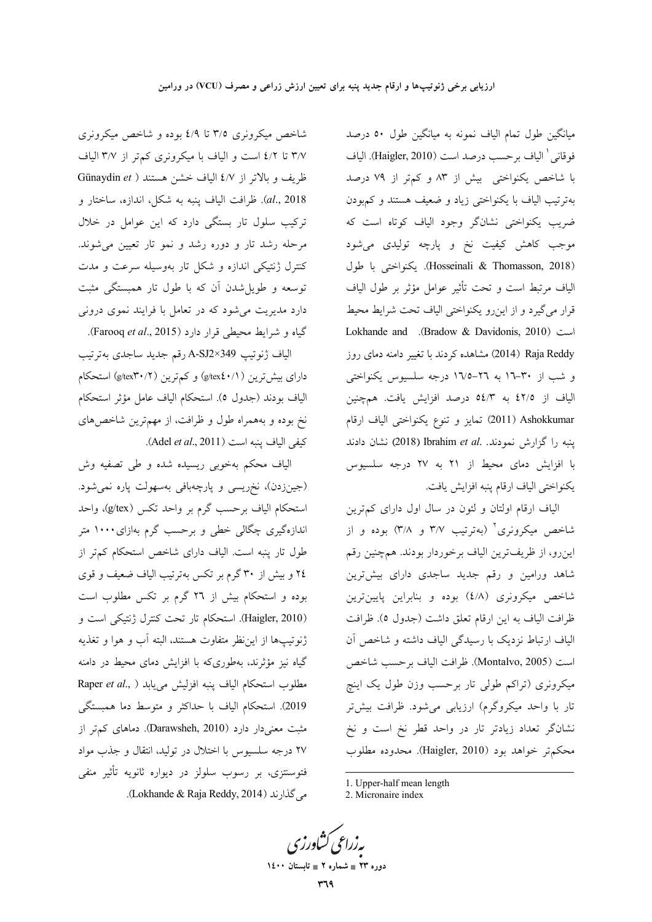میانگین طول تمام الیاف نمونه به میانگین طول ۵۰ درصد فوقاني ٰ الياف برحسب درصد است (Haigler, 2010). الياف با شاخص یکنواختی بیش از ۸۳ و کم;تر از ۷۹ درصد بهترتیب الیاف با یکنواختی زیاد و ضعیف هستند و کمهبودن ضریب یکنواختی نشانگر وجود الیاف کوتاه است که موجب کاهش کیفیت نخ و پارچه تولیدی میشود (Hosseinali & Thomasson, 2018). يكنواختى با طول لیاف مرتبط است و تحت تأثیر عوامل مؤثر بر طول الیاف قرار میگیرد و از این٫رو یکنواختی الیاف تحت شرایط محیط Lokhande and .(Bradow & Davidonis, 2010) روز (2014) Aaja Reddy) مشاهده کردند با تغییر دامنه دمای روز و شب از ۳۰–۱۲ به ۲۲–۱۷/۵ درجه سلسیوس یکنواختی لیاف از ٤٢/٥ به ٥٤/٣ درصد افزایش یافت. همچنین Z011) Ashokkumar تمايز و تنوع يكنواختى الياف ارقام ينبه را گزارش نمودند. .Ibrahim *et al* نشان دادند با افزایش دمای محیط از ۲۱ به ۲۷ درجه سلسیوس يكنواختى الياف ارقام پنبه افزايش يافت.

لیاف ارقام اولتان و لئون در سال اول دارای کم;ترین شاخص میکرونری<sup>۲</sup> (بهترتیب ۳/۷ و ۳/۸) بوده و از ينرو، از ظريفترين الياف برخوردار بودند. همچنين رقم شاهد ورامین و رقم جدید ساجدی دارای بیشترین شاخص میکرونری (٤/٨) بوده و بنابراین پایینترین ظرافت الياف به اين ارقام تعلق داشت (جدول ٥). ظرافت لیاف ارتباط نزدیک با رسیدگی الیاف داشته و شاخص أن است (Montalvo, 2005). ظرافت الياف برحسب شاخص میکرونری (تراکم طولی تار برحسب وزن طول یک اینچ نار با واحد میکروگرم) ارزیابی میشود. ظرافت بیشتر نشانگر تعداد زیادتر تار در واحد قطر نخ است و نخ محكم تر خواهد بود (Haigler, 2010). محدوده مطلوب

**په زراعي کشاورز**<sup>،</sup>

1

دوره ۲۳ **\_ شماره ۲ \_ تابستان ۱٤۰۰** 

شاخص میکرونری ۳/۵ تا ٤/٩ بوده و شاخص میکرونری ۳/۷ تا ٤/٢ است و الياف با ميكرونري كمتر از ٣/٧ الياف ظريف و بالاتر از ٤/٧ الياف خشن هستند ( Günaydin *et* al., 2018). ظرافت الياف پنبه به شكل، اندازه، ساختار و ترکیب سلول تار بستگی دارد که این عوامل در خلال مرحله رشد تار و دوره رشد و نمو تار تعیین میشوند. کنترل ژنتیکی اندازه و شکل تار بهوسیله سرعت و مدت توسعه و طویلشدن آن که با طول تار همبستگی مثبت دارد مدیریت میشود که در تعامل با فرایند نموی درونی گیاه و شرایط محیطی قرار دارد (Farooq *et al.*, 2015).

الياف ژنوتيپ A-SJ2×349 رقم جديد ساجدى بەترتيب دارای بیشتررین (s/tex٤٠/۱) و کم ترین (g/tex۳۰/۲) استحکام الياف بودند (جدول ٥). استحكام الياف عامل مؤثر استحكام نخ بوده و بههمراه طول و ظرافت، از مهمترین شاخصهای كيفي الياف ينبه است (Adel *et al.*, 2011).

الیاف محکم بهخوبی ریسیده شده و طی تصفیه وش (جینزدن)، نخریسی و پارچهبافی بهسهولت پاره نمیشود. استحكام الياف برحسب گرم بر واحد تكس (g/tex)، واحد اندازهگیری چگالی خطی و برحسب گرم بهازای۱۰۰۰ متر طول تار پنبه است. الیاف دارای شاخص استحکام کم,تر از ٢٤ و بيش از ٣٠ گرم بر تكس بهترتيب الياف ضعيف و قوى بوده و استحکام بیش از ۲۲ گرم بر تکس مطلوب است (Haigler, 2010). استحکام تار تحت کنترل ژنتیکی است و ڑنوتیپها از این ظر متفاوت هستند، البته أب و هوا و تغذیه گیاه نیز مؤثرند، بهطوریکه با افزایش دمای محیط در دامنه مطلوب استحكام الياف پنبه افزليش م<sub>ى</sub>يابد ( Raper *et al*., 2019). استحکام الیاف با حداکثر و متوسط دما همبستگی مثبت معنیدار دارد (Darawsheh, 2010). دماهای کمتر از ۲۷ درجه سلسیوس با اختلال در تولید، انتقال و جذب مواد فتوسنتزی، بر رسوب سلولز در دیواره ثانویه تأثیر منف*ی* .( Lokhande & Raja Reddy, 2014).

<sup>1.</sup> Upper-half mean length

<sup>2.</sup> Micronaire index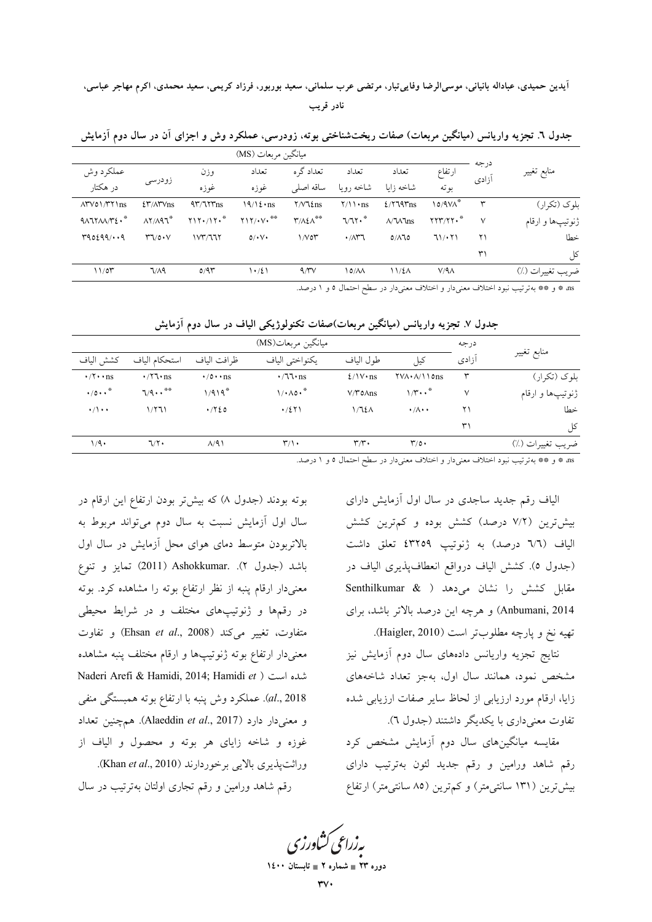آيدين حميدي، عباداله بانياني، موسىالرضا وفاييتبار، مرتضى عرب سلماني، سعيد بوربور، فرزاد كريمي، سعيد محمدي، اكرم مهاجر عباسي، نادر قريب

| منابع تغيير      |               |                                       |                               |                                          |                         | ِ مِبَانَکُن مِ بِعَاتِ (MS) |                    |                        |                                                 |
|------------------|---------------|---------------------------------------|-------------------------------|------------------------------------------|-------------------------|------------------------------|--------------------|------------------------|-------------------------------------------------|
|                  | درجه<br>آزادى | ارتفاع                                | تعداد                         | تعداد                                    | تعداد گره               | تعداد                        | وزن                |                        | عملكرد وش                                       |
|                  |               | بو ته                                 | شاخه زاىا                     | شاخه رويا                                | ساقه اصلى               | غوزه                         | غوزه               | زودرسي                 | در هکتار                                        |
| بلوک (تکرار)     | ٣             | ۱٥/۹۷۸ <sup>*</sup>                   | $2/779$ Tns                   | $\frac{1}{\sqrt{1 + ns}}$                | $Y/V\tau$ $\ln$ s       | $19/12 \cdot \text{ns}$      | $4\frac{4\pi}{15}$ | <b>٤٣/٨٣Vns</b>        | $\Lambda$ rvo $\Lambda$ rt $\ln s$              |
| ژنوتيپها و ارقام | $\vee$        | $\gamma \gamma \gamma / \gamma \cdot$ | $\Lambda/\Upsilon\Lambda$ lns | 7/71.                                    | $\mathbf{r}/\mathbf{r}$ | $Y1Y/\cdot V$                | $Y1Y+1Y*$          | $\lambda Y/\lambda 97$ | $4\lambda 17\lambda\lambda/\Upsilon\epsilon$ .* |
| خطا              | ۲۱            | 71/171                                | $0/\lambda$ 10                | $\cdot$ / $\wedge$ $\uparrow$ $\uparrow$ | 1/V                     | $0/\cdot V$                  | 1 <sup>2</sup>     | $Y \sqrt{2} \cdot V$   | 490299/49                                       |
| کل               | ٣١            |                                       |                               |                                          |                         |                              |                    |                        |                                                 |
| ضريب تغييرات (٪) |               | $V/A\Lambda$                          | 11/EA                         | ۸۸/۱۵                                    | $4/\gamma\gamma$        | 1.721                        | 0/91               | 7/A9                   | 11/07                                           |
|                  |               |                                       |                               |                                          |                         |                              |                    |                        |                                                 |

جدول ٦. تجزیه واریانس (میانگین مربعات) صفات ریختشناختی بوته، زودرسی، عملکرد وش و اجزای آن در سال دوم آزمایش

as \* و \*\* بهترتيب نبود اختلاف معنىدار و اختلاف معنىدار در سطح احتمال ٥ و ١ درصد.

جدول ۷. تجزیه واریانس (میانگین مربعات)صفات تکنولوژیکی الیاف در سال دوم آزمایش

|                                    |                       |                       | ميانگين مربعات(MS)      |                           |                                                   | در جه | منابع تغيير      |
|------------------------------------|-----------------------|-----------------------|-------------------------|---------------------------|---------------------------------------------------|-------|------------------|
| كشش الياف                          | استحكام الباف         | ظ افت الباف           | يكنواختى الياف          | طول الياف                 | كيل                                               | آزادى |                  |
| $\cdot$ / $\cdot$ ns               | $\cdot$ /7 $\cdot$ ns | $\cdot$ /0 $\cdot$ ns | $\cdot$ /77 $\cdot$ ns  | $2/1V \cdot ns$           | $\text{YVA} \cdot \text{A} / \text{10} \text{ns}$ | ٣     | بلوک (تکرار)     |
| $\cdot$ /0 $\cdot$ $\cdot$ $\cdot$ | $7/9 \cdots$          | $1/919$ <sup>*</sup>  | $1/\cdot \Lambda$ 0.*   | $V/Y$ o $\Lambda$ ns      | $1/r \cdot \cdot$                                 | ٧     | ژنوتيپها و ارقام |
| $\cdot/\cdot$                      | 1/771                 | $\cdot$ / $\cdot$ 20  | $\cdot$ /٤٢١            | 1/72A                     | $\cdot/\wedge\cdot\cdot$                          | ۲۱    | خطا              |
|                                    |                       |                       |                         |                           |                                                   | ٣١    | کل               |
| ۱٬۹۰                               | 7/7                   | $\Lambda$ /9)         | $\mathbf{r}/\mathbf{v}$ | $\mathbf{r}/\mathbf{r}$ . | $\mathcal{L}/\mathcal{O}$                         |       | ضريب تغييرات (٪) |

بوته بودند (جدول ٨) كه بيشتر بودن ارتفاع اين ارقام در

سال اول آزمایش نسبت به سال دوم می تواند مربوط به

بالاتربودن متوسط دمای هوای محل آزمایش در سال اول

باشد (جدول ۲). .Ashokkumar (2011) تمايز و تنوع

معنیدار ارقام پنبه از نظر ارتفاع بوته را مشاهده کرد. بوته

در رقمها و ژنوتیپهای مختلف و در شرایط محیطی

متفاوت، تغيير مي كند (Ehsan et al., 2008) و تفاوت

معنىدار ارتفاع بوته ژنوتيپها و ارقام مختلف پنبه مشاهده Naderi Arefi & Hamidi, 2014; Hamidi et ) شده است

al., 2018). عملكرد وش پنبه با ارتفاع بوته همبستگي منفي

و معنى دار دارد (Alaeddin *et al.*, 2017). همچنین تعداد

غوزه و شاخه زایای هر بوته و محصول و الیاف از

رقم شاهد ورامین و رقم تجاری اولتان بهترتیب در سال

وراثت يذيري بالايي برخوردارند (Khan et al., 2010).

as # و ## بهترتیب نبود اختلاف معنیدار و اختلاف معنیدار در سطح احتمال ٥ و ١ درصد.

الیاف رقم جدید ساجدی در سال اول آزمایش دارای بیش ترین (۷/۲ درصد) کشش بوده و کم ترین کشش الياف (٦/٦ درصد) به ژنوتيپ ٤٣٢٥٩ تعلق داشت (جدول ٥). كشش الياف درواقع انعطافپذيري الياف در مقابل کشش را نشان میدهد ( & Senthilkumar Anbumani, 2014) و هرچه این درصد بالاتر باشد، برای تهيه نخ و يارچه مطلوبتر است (Haigler, 2010).

نتايج تجزيه واريانس دادههاى سال دوم أزمايش نيز مشخص نمود، همانند سال اول، بهجز تعداد شاخههای زایا، ارقام مورد ارزیابی از لحاظ سایر صفات ارزیابی شده تفاوت معنى دارى با يكديگر داشتند (جدول ٦).

مقایسه میانگینهای سال دوم آزمایش مشخص کرد رقم شاهد ورامین و رقم جدید لئون بهترتیب دارای بیش ترین (۱۳۱ سانتی متر) و کم ترین (۸۵ سانتی متر) ارتفاع

بەزراعى كشاورزى

دورہ ۲۳ ∎ شمارہ ۲ ∎ تاہ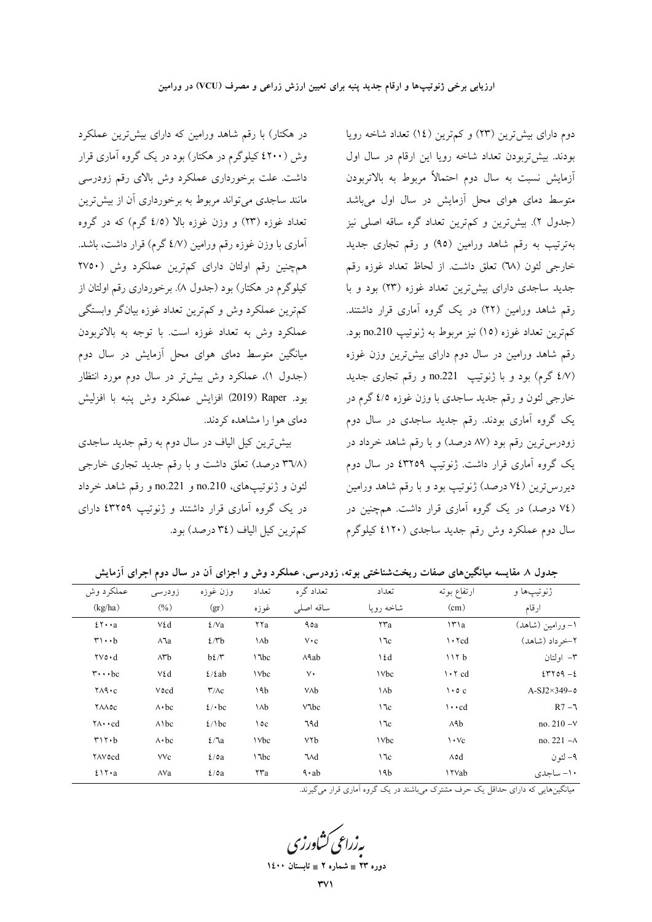در هکتار) با رقم شاهد ورامین که دارای بیشترین عملکرد وش (٤٢٠٠ کیلوگرم در هکتار) بود در یک گروه آماری قرار داشت. علت برخورداری عملکرد وش بالای رقم زودرسی مانند ساجدی می تواند مربوط به برخورداری آن از بیش ترین تعداد غوزه (۲۳) و وزن غوزه بالا (٤/٥ گرم) که در گروه آماری با وزن غوزه رقم ورامین (٤/٧ گرم) قرار داشت، باشد. همچنین رقم اولتان دارای کم;ترین عملکرد وش (۲۷۵۰ کیلوگرم در هکتار) بود (جدول ۸). برخورداری رقم اولتان از کم ترین عملکرد وش و کم ترین تعداد غوزه بیانگر وابستگی عملکرد وش به تعداد غوزه است. با توجه به بالاتربودن میانگین متوسط دمای هوای محل آزمایش در سال دوم (جدول ۱)، عملکرد وش بیشتر در سال دوم مورد انتظار بود. Raper (2019) افزايش عملكرد وش ينبه با افزليش دمای هوا را مشاهده کردند.

بیش ترین کیل الیاف در سال دوم به رقم جدید ساجدی (۳٦/٨ درصد) تعلق داشت و با رقم جدید تجاری خارجی لئون و ژنوتيپهاي، no.210 و no.221 و رقم شاهد خرداد در یک گروه آماری قرار داشتند و ژنوتیپ ٤٣٢٥٩ دارای كمترين كيل الياف (٣٤ درصد) بود.

دوم دارای بیشترین (۲۳) و کم ترین (١٤) تعداد شاخه رویا بودند. بیش تربودن تعداد شاخه رویا این ارقام در سال اول أزمايش نسبت به سال دوم احتمالاً مربوط به بالاتربودن متوسط دمای هوای محل آزمایش در سال اول میباشد (جدول ۲). بیش ترین و کم ترین تعداد گره ساقه اصلی نیز بهترتیب به رقم شاهد ورامین (۹۵) و رقم تجاری جدید خارجي لئون (٦٨) تعلق داشت. از لحاظ تعداد غوزه رقم جدید ساجدی دارای بیشترین تعداد غوزه (۲۳) بود و با رقم شاهد ورامین (۲۲) در یک گروه آماری قرار داشتند. كمترين تعداد غوزه (١٥) نيز مربوط به ژنوتيپ no.210 بود. رقم شاهد ورامین در سال دوم دارای بیش ترین وزن غوزه (٤/٧ گرم) بود و با ژنوتیپ no.221 و رقم تجاری جدید خارجي لئون و رقم جديد ساجدي با وزن غوزه ٤/٥ گرم در یک گروه آماری بودند. رقم جدید ساجدی در سال دوم زودرسترین رقم بود (۸۷ درصد) و با رقم شاهد خرداد در یک گروه آماری قرار داشت. ژنوتیپ ٤٣٢٥٩ در سال دوم دیررس ترین (٧٤ درصد) ژنوتیپ بود و با رقم شاهد ورامین (٧٤ درصد) در یک گروه آماری قرار داشت. همچنین در سال دوم عملکرد وش رقم جدید ساجدی (٤١٢٠ کیلوگرم

| عملكرد وش                              | زودرسى            | وزن غوزه                          | تعداد                     | تعداد گر ه                           | تعداد                     | ارتفاع بوته                     | ژنوتيپها و          |
|----------------------------------------|-------------------|-----------------------------------|---------------------------|--------------------------------------|---------------------------|---------------------------------|---------------------|
| (kg/ha)                                | (0/0)             | (gr)                              | غوزه                      | ساقه اصلى                            | شاخه رويا                 | (cm)                            | ارقام               |
| $25 \cdot a$                           | ٧٤d               | $\frac{\epsilon}{\mathrm{Va}}$    | ۲۲a                       | ٩٥a                                  | $\mathsf{r} \mathsf{r}$ a | $\Upsilon$                      | ۱– ورامین (شاهد)    |
| $r \cdot b$                            | ۸٦a               | $2/\mu b$                         | ۱۸b                       | $V \cdot c$                          | ١٦c                       | $\cdot$ $\cdot$ $\cdot$ $\cdot$ | ٢-خر داد (شاهد)     |
| $\forall \mathsf{v} \cdot \mathsf{d}$  | $\wedge$ ۳ $b$    | $b\ell/\mathcal{r}$               | \"\bc                     | $\wedge$ Aab                         | $\delta$                  | 117b                            | ۳– اولتان           |
| $\mathbf{r}\cdots\mathbf{b}\mathbf{c}$ | ٧٤d               | $\frac{\xi}{\tan \theta}$         | <b>\Vbc</b>               | ٧٠                                   | $\forall bc$              | $\cdot \tau$ cd                 | $204 - 2$           |
| $Y \wedge \mathsf{A} \cdot c$          | Vocd              | $\mathsf{r}/\mathsf{A}\mathsf{c}$ | ١٩b                       | VAb                                  | ١٨b                       | $\cdot \circ c$                 | $A-SJ2\times 349-0$ |
| <b>YAAOC</b>                           | $\wedge \cdot bc$ | $2/$ bc                           | ۱۸b                       | $V$ $bc$                             | $\sqrt{c}$                | $\cdots$ cd                     | $R7 - 7$            |
| $\forall \wedge \cdot \cdot \text{cd}$ | $\wedge$ bc       | $2/\delta c$                      | ١٥c                       | ٦٩d                                  | ١٦c                       | A9b                             | no. $210 - V$       |
| $r \wedge r \cdot b$                   | $\wedge \cdot bc$ | $\frac{\epsilon}{a}$              | <b>\Vbc</b>               | ٧٢b                                  | $\forall bc$              | $\vee$ $\vee$ $\vee$            | no. $221 - A$       |
| <b>YAVocd</b>                          | <b>VVc</b>        | $2/\circ a$                       | \"\bc                     | ٦Md                                  | $\sqrt{c}$                | <b>Aod</b>                      | ۹– لئون             |
| $2\lambda \cdot a$                     | AVa               | $\frac{\epsilon}{\alpha}$         | $\mathsf{r} \mathsf{r}$ a | $\mathbf{\hat{a}} \cdot \mathbf{ab}$ | ١٩b                       | <b>\YVab</b>                    | ۱۰- ساجدی           |

جدول ۸ مقایسه میانگینهای صفات ریختشناختی بوته، زودرسی، عملکرد وش و اجزای آن در سال دوم اجرای آزمایش

میانگینهایی که دارای حداقل یک حرف مشترک میباشند در یک گروه آماری قرار میگیرند.

یه زراعی کشاورز

دوره ۲۳ ∎ شماره ۲ ∎ تا،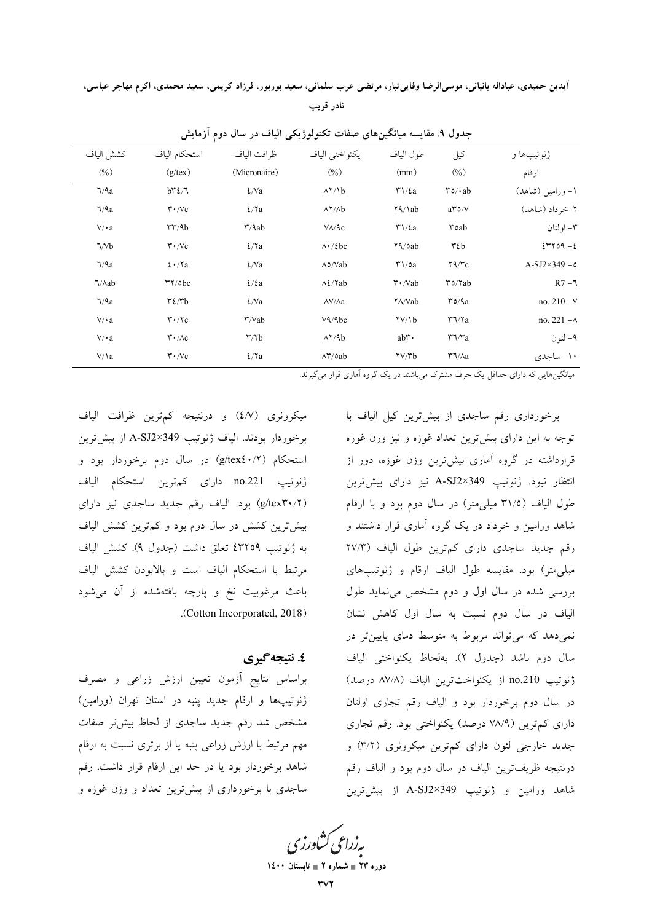آيدين حميدي، عباداله بانياني، موسىالرضا وفاييتبار، مرتضى عرب سلماني، سعيد بوربور، فرزاد كريمي، سعيد محمدي، اكرم مهاجر عباسي، نادر قريب

| ژنوتيپها و           | کیل                                            | طول الياف                                          | يكنواختي الياف                       | ظرافت الياف                   | استحكام الياف                              | كشش الياف           |
|----------------------|------------------------------------------------|----------------------------------------------------|--------------------------------------|-------------------------------|--------------------------------------------|---------------------|
| ارقام                | $(\%)$                                         | (mm)                                               | (9/0)                                | (Micronaire)                  | $(g$ /tex)                                 | (0/0)               |
| ۱– ورامین (شاهد)     | $\mathbf{r} \circ \mathbf{r} \cdot \mathbf{a}$ | $\mathfrak{r}\setminus\mathfrak{c}_a$              | $\lambda$ Y/ $\lambda$ b             | $\frac{\epsilon}{\mathrm{v}}$ | $b^{\mu}\ell/\tau$                         | $\sqrt{2a}$         |
| ٢-خر داد (شاهد)      | $a^{\prime\prime}$ 0/V                         | $\frac{1}{4}$                                      | $\lambda$ Y/ $\lambda$ b             | $2/\Upsilon$ a                | $\mathbf{r} \cdot \mathbf{v}$              | $\sqrt{2a}$         |
| ۳- اولتان            | $\mathbf{r}$ oab                               | $\mathbf{r}\mathbf{1}/\mathbf{\mathbf{\hat{z}}}$ a | $V/\sqrt{c}$                         | $\mathbf{r}/\mathbf{4ab}$     | rr/4b                                      | $V/\cdot a$         |
| $2-\gamma$           | $\mathbf{r}$ is be-                            | $Y_1$ oab                                          | $\Lambda$ · / $\ell$ bc              | 2/7a                          | $\mathbf{r} \cdot \mathbf{v}$              | $\sqrt{}$           |
| $A-SJ2\times349 - 0$ | $\mathbf{Y9}/\mathbf{r}$ c                     | $\mathsf{r}\setminus\mathsf{oa}$                   | $\Lambda$ o/Vab                      | $\frac{\epsilon}{\mathrm{v}}$ | $2 \cdot \gamma a$                         | $\sqrt{2a}$         |
| $R7 - 7$             | $\mathbf{r}$ o/Yab                             | $\mathbf{r} \cdot$ /Vab                            | $\Lambda$ / $\lambda$ / $\lambda$ ab | $\frac{\epsilon}{\epsilon}$   | $\mathsf{r}\mathsf{y}/\mathsf{obc}$        | $\sqrt{\text{A}ab}$ |
| no. $210 - V$        | $r$ $0/9a$                                     | YA/Vab                                             | $\Lambda V/\Lambda a$                | $\frac{\epsilon}{\mathrm{v}}$ | $\mathbf{r} \mathbf{\Omega} \mathbf{r}$    | $\sqrt{2a}$         |
| no. $221 - A$        | $\mathbf{r}\mathbf{v}$                         | $\frac{Y}{10}$                                     | V <sup>q</sup> /9bc                  | $\mathbf{r}/\mathbf{Vab}$     | $\mathbf{r} \cdot \mathbf{r}$              | $V/\cdot a$         |
| ۹– لئون              | $r\gamma/r_a$                                  | abr.                                               | $\lambda$ Y/9b                       | $\mathbf{r}/\mathbf{r}$       | $\mathsf{r} \cdot / \mathsf{A} \mathsf{c}$ | $V/\cdot a$         |
| ۱۰- ساجدی            | $\Upsilon \sqrt{\lambda a}$                    | $\frac{y}{y}$                                      | $\Lambda^{\star}/\circ ab$           | 2/7a                          | $\mathbf{r} \cdot \mathbf{v}$              | $V/\lambda$         |
|                      |                                                |                                                    |                                      |                               |                                            |                     |

جدول ۹. مقايسه ميانگينهاي صفات تكنولوژيكي الياف در سال دوم آزمايش

میانگینهایی که دارای حداقل یک حرف مشترک میباشند در یک گروه آماری قرار میگیرند.

میکرونری (٤/٧) و درنتیجه کمترین ظرافت الیاف برخوردار بودند. الياف ژنوتيپ 349×A-SJ2 از بيشترين استحکام (g/tex٤٠/٢) در سال دوم برخوردار بود و ژنوتیپ no.221 دارای کمترین استحکام الیاف (g/tex۳۰/۲) بود. الیاف رقم جدید ساجدی نیز دارای بیش ترین کشش در سال دوم بود و کم ترین کشش الیاف به ژنوتیپ ٤٣٢٥٩ تعلق داشت (جدول ٩). کشش الیاف مرتبط با استحكام الياف است و بالابودن كشش الياف باعث مرغوبیت نخ و پارچه بافتهشده از آن میشود .(Cotton Incorporated, 2018).

### ٤. نتيجه گيري

براساس نتايج أزمون تعيين ارزش زراعي و مصرف ژنوتیپها و ارقام جدید پنبه در استان تهران (ورامین) مشخص شد رقم جدید ساجدی از لحاظ بیشتر صفات مهم مرتبط با ارزش زراعی پنبه یا از برتری نسبت به ارقام شاهد برخوردار بود یا در حد این ارقام قرار داشت. رقم ساجدی با برخورداری از بیشترین تعداد و وزن غوزه و

برخورداری رقم ساجدی از بیش ترین کیل الیاف با توجه به این دارای بیش ترین تعداد غوزه و نیز وزن غوزه قرارداشته در گروه آماری بیشترین وزن غوزه، دور از انتظار نبود. ژنوتیپ A-SJ2×349 نیز دارای بیشترین طول الياف (٣١/٥ ميلي متر) در سال دوم بود و با ارقام شاهد ورامین و خرداد در یک گروه آماری قرار داشتند و رقم جديد ساجدي داراي كمترين طول الياف (٢٧/٣ میلی متر) بود. مقایسه طول الیاف ارقام و ژنوتیپهای بررسی شده در سال اول و دوم مشخص می نماید طول الیاف در سال دوم نسبت به سال اول کاهش نشان نمی دهد که می تواند مربوط به متوسط دمای پایین تر در سال دوم باشد (جدول ٢). بهلحاظ يكنواختى الياف ژنوتیپ no.210 از یکنواختترین الیاف (۸۷/۸ درصد) در سال دوم برخوردار بود و الياف رقم تجارى اولتان دارای کم ترین (۷۸/۹ درصد) یکنواختی بود. رقم تجاری جدید خارجی لئون دارای کمترین میکرونری (۳/۲) و درنتيجه ظريفترين الياف در سال دوم بود و الياف رقم شاهد ورامين و ژنوتيپ A-SJ2×349 از بيشترين

بەزراعى كشاورز<sup>.</sup>

دوره ۲۳ ∎ شماره ۲ ∎ تابه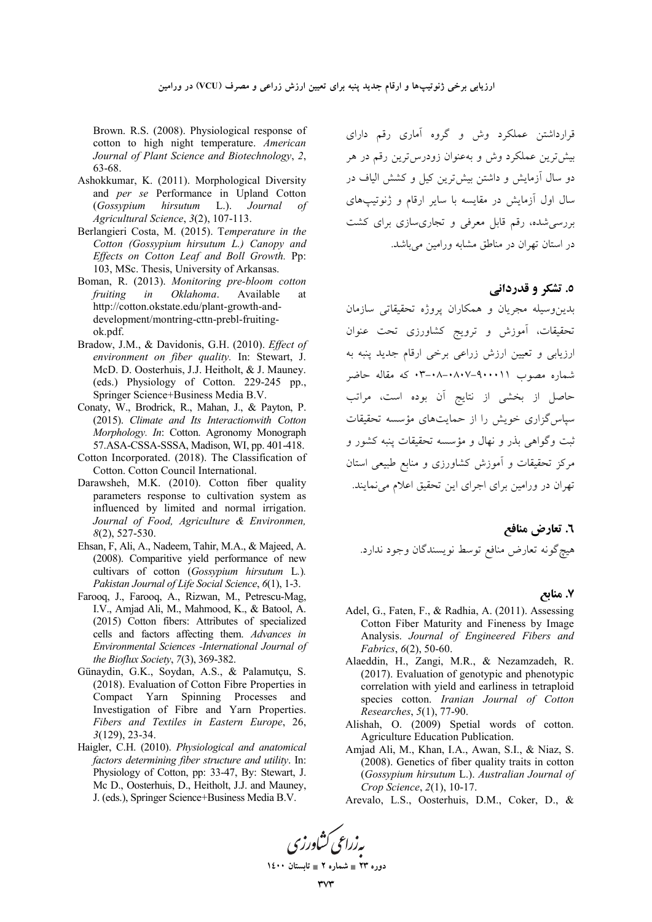Brown. R.S. (2008). Physiological response of cotton to high night temperature. *American Journal of Plant Science and Biotechnology*, *2*, 63-68.

- Ashokkumar, K. (2011). Morphological Diversity and *per se* Performance in Upland Cotton (*Gossypium hirsutum* L.). *Journal of Agricultural Science*, *3*(2), 107-113.
- Berlangieri Costa, M. (2015). T*emperature in the Cotton (Gossypium hirsutum L.) Canopy and Effects on Cotton Leaf and Boll Growth.* Pp: 103, MSc. Thesis, University of Arkansas.
- Boman, R. (2013). *Monitoring pre-bloom cotton fruiting in Oklahoma*. Available at http://cotton.okstate.edu/plant-growth-anddevelopment/montring-cttn-prebl-fruitingok.pdf.
- Bradow, J.M., & Davidonis, G.H. (2010). *Effect of environment on fiber quality.* In: Stewart, J. McD. D. Oosterhuis, J.J. Heitholt, & J. Mauney. (eds.) Physiology of Cotton. 229-245 pp., Springer Science+Business Media B.V.
- Conaty, W., Brodrick, R., Mahan, J., & Payton, P. (2015). *Climate and Its Interactionwith Cotton Morphology. In*: Cotton. Agronomy Monograph 57.ASA-CSSA-SSSA, Madison, WI, pp. 401-418.
- Cotton Incorporated. (2018). The Classification of Cotton. Cotton Council International.
- Darawsheh, M.K. (2010). Cotton fiber quality parameters response to cultivation system as influenced by limited and normal irrigation. *Journal of Food, Agriculture & Environmen, 8*(2), 527-530.
- Ehsan, F, Ali, A., Nadeem, Tahir, M.A., & Majeed, A. (2008). Comparitive yield performance of new cultivars of cotton (*Gossypium hirsutum* L*.*)*. Pakistan Journal of Life Social Science*, *6*(1), 1-3.
- Farooq, J., Farooq, A., Rizwan, M., Petrescu-Mag, I.V., Amjad Ali, M., Mahmood, K., & Batool, A. (2015) Cotton fibers: Attributes of specialized cells and factors affecting them. *Advances in Environmental Sciences -International Journal of the Bioflux Society*, *7*(3), 369-382.
- Günaydin, G.K., Soydan, A.S., & Palamutçu, S. (2018). Evaluation of Cotton Fibre Properties in Compact Yarn Spinning Processes and Investigation of Fibre and Yarn Properties. *Fibers and Textiles in Eastern Europe*, 26, *3*(129), 23-34.
- Haigler, C.H. (2010). *Physiological and anatomical factors determining fiber structure and utility*. In: Physiology of Cotton, pp: 33-47, By: Stewart, J. Mc D., Oosterhuis, D., Heitholt, J.J. and Mauney, J. (eds.), Springer Science+Business Media B.V.

قرارداشتن عملکرد وش و گروه آماری رقم دارای یش ترین عملکرد وش و بهعنوان زودرسترین رقم در هر دو سال آزمایش و داشتن بیشترین کیل و کشش الیاف در سال اول آزمایش در مقایسه با سایر ارقام و ژنوتیپهای بررسی شده، رقم قابل معرفی و تجاری سازی برای کشت در استان تهران در مناطق مشابه ورامین می باشد.

#### **0. تشکر و قدردانی**

بدینِوسیله مجریان و همکاران پروژه تحقیقاتی سازمان نحقیقات، آموزش و ترویج کشاورزی تحت عنوان رزیابی و تعیین ارزش زراعی برخی ارقام جدید پنبه به شماره مصوب ۹۰۰۱۱-۰۸+-۰۸+۳ که مقاله حاضر حاصل از بخشی از نتایج آن بوده است، مراتب سپاس گزاری خویش را از حمایتهای مؤسسه تحقیقات نبت وگواهی بذر و نهال و مؤسسه تحقیقات پنبه کشور و مرکز تحقیقات و آموزش کشاورزی و منابع طبیعی استان نهران در ورامین برای اجرای این تحقیق اعلام میiمایند.

٦. تعارض مناف*ع* هيچگونه تعارض منافع توسط نويسندگان وجود ندارد.

## **. 0 7.**

- Adel, G., Faten, F., & Radhia, A. (2011). Assessing Cotton Fiber Maturity and Fineness by Image Analysis. *Journal of Engineered Fibers and Fabrics*, *6*(2), 50-60.
- Alaeddin, H., Zangi, M.R., & Nezamzadeh, R. (2017). Evaluation of genotypic and phenotypic correlation with yield and earliness in tetraploid species cotton. *Iranian Journal of Cotton Researches*, *5*(1), 77-90.
- Alishah, O. (2009) Spetial words of cotton. Agriculture Education Publication.
- Amjad Ali, M., Khan, I.A., Awan, S.I., & Niaz, S. (2008). Genetics of fiber quality traits in cotton (*Gossypium hirsutum* L.). *Australian Journal of Crop Science*, *2*(1), 10-17.
- Arevalo, L.S., Oosterhuis, D.M., Coker, D., &



دوره ۲۳ **\_ شماره ۲ \_ تابستان ۱٤۰۰**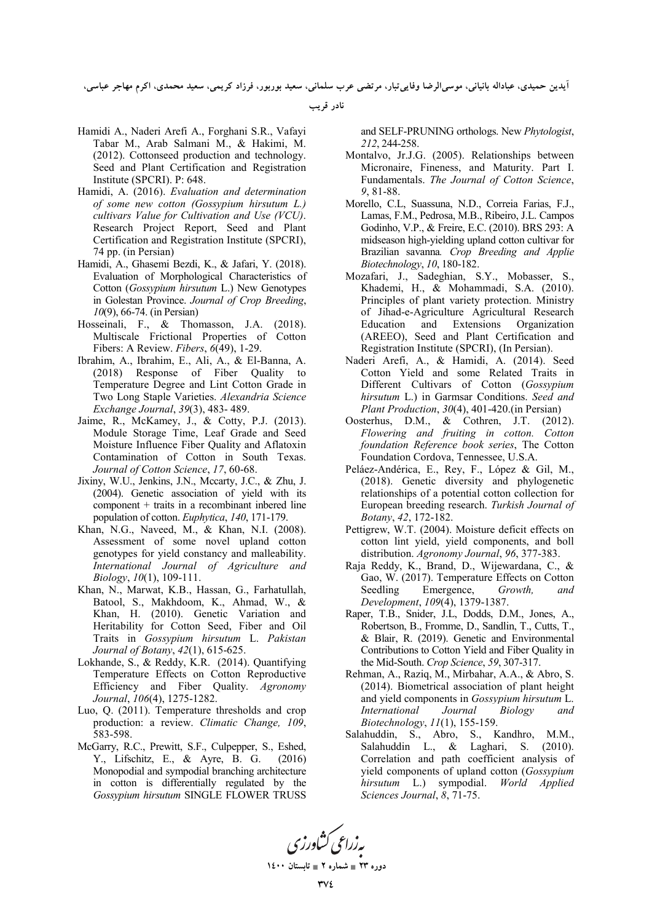أيدين حميدي، عباداله بانياني، موسىالرضا وفايي¢بار، مرتضى عرب سلماني، سعيد بوربور، فرزاد كريمي، سعيد محمدي، اكرم مهاجر عباسي،

**نادر قریب** 

- Hamidi A., Naderi Arefi A., Forghani S.R., Vafayi Tabar M., Arab Salmani M., & Hakimi, M. (2012). Cottonseed production and technology. Seed and Plant Certification and Registration Institute (SPCRI). P: 648.
- Hamidi, A. (2016). *Evaluation and determination of some new cotton (Gossypium hirsutum L.) cultivars Value for Cultivation and Use (VCU)*. Research Project Report, Seed and Plant Certification and Registration Institute (SPCRI), 74 pp. (in Persian)
- Hamidi, A., Ghasemi Bezdi, K., & Jafari, Y. (2018). Evaluation of Morphological Characteristics of Cotton (*Gossypium hirsutum* L.) New Genotypes in Golestan Province. *Journal of Crop Breeding*, *10*(9), 66-74. (in Persian)
- Hosseinali, F., & Thomasson, J.A. (2018). Multiscale Frictional Properties of Cotton Fibers: A Review. *Fibers*, *6*(49), 1-29.
- Ibrahim, A., Ibrahim, E., Ali, A., & El-Banna, A. (2018) Response of Fiber Quality to Temperature Degree and Lint Cotton Grade in Two Long Staple Varieties. *Alexandria Science Exchange Journal*, *39*(3), 483- 489.
- Jaime, R., McKamey, J., & Cotty, P.J. (2013). Module Storage Time, Leaf Grade and Seed Moisture Influence Fiber Quality and Aflatoxin Contamination of Cotton in South Texas. *Journal of Cotton Science*, *17*, 60-68.
- Jixiny, W.U., Jenkins, J.N., Mccarty, J.C., & Zhu, J. (2004). Genetic association of yield with its component + traits in a recombinant inbered line population of cotton. *Euphytica*, *140*, 171-179.
- Khan, N.G., Naveed, M., & Khan, N.I. (2008). Assessment of some novel upland cotton genotypes for yield constancy and malleability. *International Journal of Agriculture and Biology*, *10*(1), 109-111.
- Khan, N., Marwat, K.B., Hassan, G., Farhatullah, Batool, S., Makhdoom, K., Ahmad, W., & Khan, H. (2010). Genetic Variation and Heritability for Cotton Seed, Fiber and Oil Traits in *Gossypium hirsutum* L. *Pakistan Journal of Botany*, *42*(1), 615-625.
- Lokhande, S., & Reddy, K.R. (2014). Quantifying Temperature Effects on Cotton Reproductive Efficiency and Fiber Quality. *Agronomy Journal*, *106*(4), 1275-1282.
- Luo, Q. (2011). Temperature thresholds and crop production: a review. *Climatic Change, 109*, 583-598.
- McGarry, R.C., Prewitt, S.F., Culpepper, S., Eshed, Y., Lifschitz, E., & Ayre, B. G. (2016) Monopodial and sympodial branching architecture in cotton is differentially regulated by the *Gossypium hirsutum* SINGLE FLOWER TRUSS

and SELF-PRUNING orthologs. New *Phytologist*, *212*, 244-258.

- Montalvo, Jr.J.G. (2005). Relationships between Micronaire, Fineness, and Maturity. Part I. Fundamentals. *The Journal of Cotton Science*, *9*, 81-88.
- Morello, C.L, Suassuna, N.D., Correia Farias, F.J., Lamas, F.M., Pedrosa, M.B., Ribeiro, J.L. Campos Godinho, V.P., & Freire, E.C. (2010). BRS 293: A midseason high-yielding upland cotton cultivar for Brazilian savanna*. Crop Breeding and Applie Biotechnology*, *10*, 180-182.
- Mozafari, J., Sadeghian, S.Y., Mobasser, S., Khademi, H., & Mohammadi, S.A. (2010). Principles of plant variety protection. Ministry of Jihad-e-Agriculture Agricultural Research Education and Extensions Organization (AREEO), Seed and Plant Certification and Registration Institute (SPCRI), (In Persian).
- Naderi Arefi, A., & Hamidi, A. (2014). Seed Cotton Yield and some Related Traits in Different Cultivars of Cotton (*Gossypium hirsutum* L.) in Garmsar Conditions. *Seed and Plant Production*, *30*(4), 401-420.(in Persian)
- Oosterhus, D.M., & Cothren, J.T. (2012). *Flowering and fruiting in cotton. Cotton foundation Reference book series*, The Cotton Foundation Cordova, Tennessee, U.S.A.
- Peláez-Andérica, E., Rey, F., López & Gil, M., (2018). Genetic diversity and phylogenetic relationships of a potential cotton collection for European breeding research. *Turkish Journal of Botany*, *42*, 172-182.
- Pettigrew, W.T. (2004). Moisture deficit effects on cotton lint yield, yield components, and boll distribution. *Agronomy Journal*, *96*, 377-383.
- Raja Reddy, K., Brand, D., Wijewardana, C., & Gao, W. (2017). Temperature Effects on Cotton Seedling Emergence, *Growth, and Development*, *109*(4), 1379-1387.
- Raper, T.B., Snider, J.L, Dodds, D.M., Jones, A., Robertson, B., Fromme, D., Sandlin, T., Cutts, T., & Blair, R. (2019). Genetic and Environmental Contributions to Cotton Yield and Fiber Quality in the Mid-South. *Crop Science*, *59*, 307-317.
- Rehman, A., Raziq, M., Mirbahar, A.A., & Abro, S. (2014). Biometrical association of plant height and yield components in *Gossypium hirsutum* L. *International Journal Biology and Biotechnology*, *11*(1), 155-159.
- Salahuddin, S., Abro, S., Kandhro, M.M., Salahuddin L., & Laghari, S. (2010). Correlation and path coefficient analysis of yield components of upland cotton (*Gossypium hirsutum* L.) sympodial. *World Applied Sciences Journal*, *8*, 71-75.



**1400  2 - 23 -**